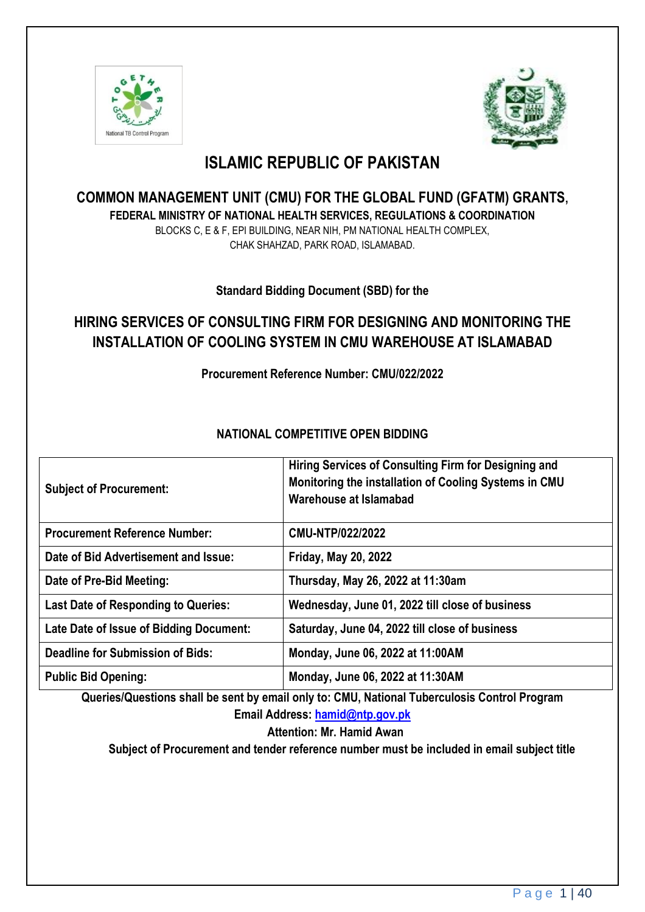



# **ISLAMIC REPUBLIC OF PAKISTAN**

**COMMON MANAGEMENT UNIT (CMU) FOR THE GLOBAL FUND (GFATM) GRANTS, FEDERAL MINISTRY OF NATIONAL HEALTH SERVICES, REGULATIONS & COORDINATION** BLOCKS C, E & F, EPI BUILDING, NEAR NIH, PM NATIONAL HEALTH COMPLEX, CHAK SHAHZAD, PARK ROAD, ISLAMABAD.

**Standard Bidding Document (SBD) for the**

# **HIRING SERVICES OF CONSULTING FIRM FOR DESIGNING AND MONITORING THE INSTALLATION OF COOLING SYSTEM IN CMU WAREHOUSE AT ISLAMABAD**

**Procurement Reference Number: CMU/022/2022**

# **NATIONAL COMPETITIVE OPEN BIDDING**

| <b>Subject of Procurement:</b>             | Hiring Services of Consulting Firm for Designing and<br>Monitoring the installation of Cooling Systems in CMU<br>Warehouse at Islamabad |
|--------------------------------------------|-----------------------------------------------------------------------------------------------------------------------------------------|
| <b>Procurement Reference Number:</b>       | CMU-NTP/022/2022                                                                                                                        |
| Date of Bid Advertisement and Issue:       | <b>Friday, May 20, 2022</b>                                                                                                             |
| Date of Pre-Bid Meeting:                   | Thursday, May 26, 2022 at 11:30am                                                                                                       |
| <b>Last Date of Responding to Queries:</b> | Wednesday, June 01, 2022 till close of business                                                                                         |
| Late Date of Issue of Bidding Document:    | Saturday, June 04, 2022 till close of business                                                                                          |
| <b>Deadline for Submission of Bids:</b>    | Monday, June 06, 2022 at 11:00AM                                                                                                        |
| <b>Public Bid Opening:</b>                 | Monday, June 06, 2022 at 11:30AM                                                                                                        |

**Queries/Questions shall be sent by email only to: CMU, National Tuberculosis Control Program Email Address: [hamid@ntp.gov.pk](mailto:hamid@ntp.gov.pk)**

**Attention: Mr. Hamid Awan**

**Subject of Procurement and tender reference number must be included in email subject title**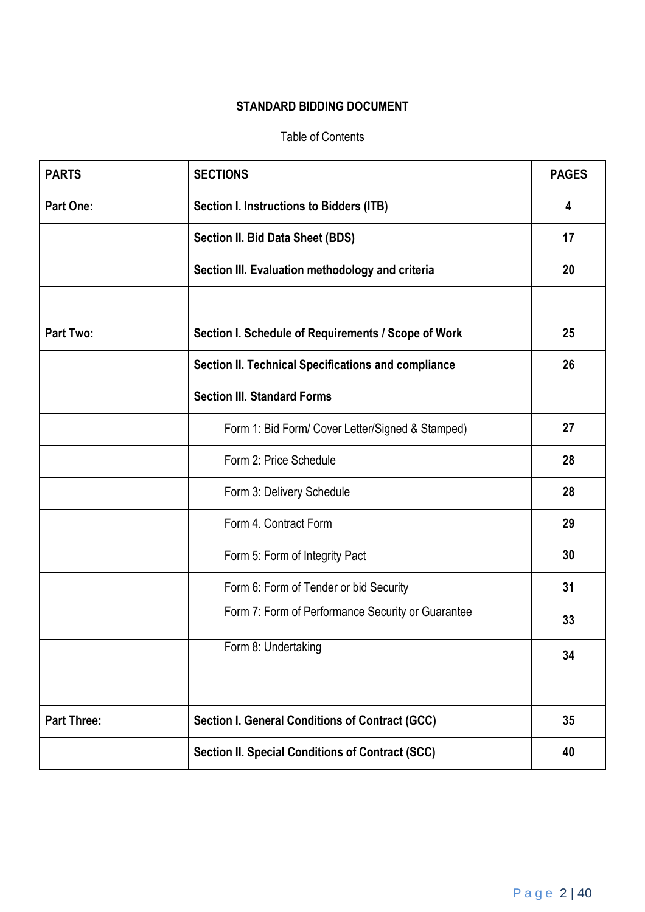# **STANDARD BIDDING DOCUMENT**

#### Table of Contents

| <b>PARTS</b>       | <b>SECTIONS</b>                                         | <b>PAGES</b> |
|--------------------|---------------------------------------------------------|--------------|
| <b>Part One:</b>   | <b>Section I. Instructions to Bidders (ITB)</b>         | 4            |
|                    | Section II. Bid Data Sheet (BDS)                        | 17           |
|                    | Section III. Evaluation methodology and criteria        | 20           |
|                    |                                                         |              |
| <b>Part Two:</b>   | Section I. Schedule of Requirements / Scope of Work     | 25           |
|                    | Section II. Technical Specifications and compliance     | 26           |
|                    | <b>Section III. Standard Forms</b>                      |              |
|                    | Form 1: Bid Form/ Cover Letter/Signed & Stamped)        | 27           |
|                    | Form 2: Price Schedule                                  | 28           |
|                    | Form 3: Delivery Schedule                               | 28           |
|                    | Form 4. Contract Form                                   | 29           |
|                    | Form 5: Form of Integrity Pact                          | 30           |
|                    | Form 6: Form of Tender or bid Security                  | 31           |
|                    | Form 7: Form of Performance Security or Guarantee       | 33           |
|                    | Form 8: Undertaking                                     | 34           |
|                    |                                                         |              |
| <b>Part Three:</b> | Section I. General Conditions of Contract (GCC)         | 35           |
|                    | <b>Section II. Special Conditions of Contract (SCC)</b> | 40           |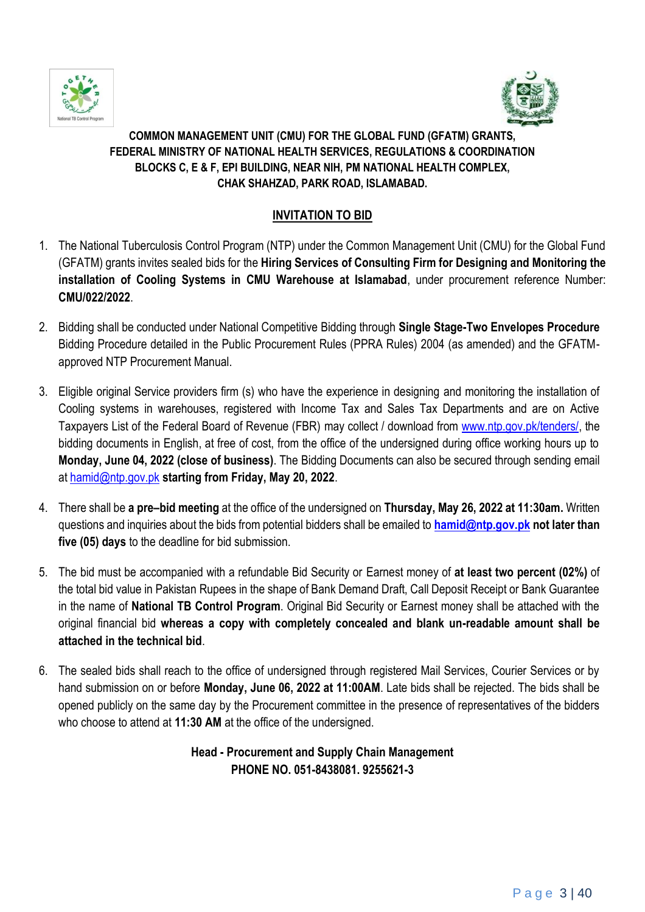



# **COMMON MANAGEMENT UNIT (CMU) FOR THE GLOBAL FUND (GFATM) GRANTS, FEDERAL MINISTRY OF NATIONAL HEALTH SERVICES, REGULATIONS & COORDINATION BLOCKS C, E & F, EPI BUILDING, NEAR NIH, PM NATIONAL HEALTH COMPLEX, CHAK SHAHZAD, PARK ROAD, ISLAMABAD.**

# **INVITATION TO BID**

- 1. The National Tuberculosis Control Program (NTP) under the Common Management Unit (CMU) for the Global Fund (GFATM) grants invites sealed bids for the **Hiring Services of Consulting Firm for Designing and Monitoring the installation of Cooling Systems in CMU Warehouse at Islamabad**, under procurement reference Number: **CMU/022/2022**.
- 2. Bidding shall be conducted under National Competitive Bidding through **Single Stage-Two Envelopes Procedure** Bidding Procedure detailed in the Public Procurement Rules (PPRA Rules) 2004 (as amended) and the GFATMapproved NTP Procurement Manual.
- 3. Eligible original Service providers firm (s) who have the experience in designing and monitoring the installation of Cooling systems in warehouses, registered with Income Tax and Sales Tax Departments and are on Active Taxpayers List of the Federal Board of Revenue (FBR) may collect / download from [www.ntp.gov.pk/tenders/,](http://www.ntp.gov.pk/tenders/) the bidding documents in English, at free of cost, from the office of the undersigned during office working hours up to **Monday, June 04, 2022 (close of business)**. The Bidding Documents can also be secured through sending email at [hamid@ntp.gov.pk](mailto:hamid@ntp.gov.pk) **starting from Friday, May 20, 2022**.
- 4. There shall be **a pre–bid meeting** at the office of the undersigned on **Thursday, May 26, 2022 at 11:30am.** Written questions and inquiries about the bids from potential bidders shall be emailed to **[hamid@ntp.gov.pk](mailto:hamid@ntp.gov.pk) not later than five (05) days** to the deadline for bid submission.
- 5. The bid must be accompanied with a refundable Bid Security or Earnest money of **at least two percent (02%)** of the total bid value in Pakistan Rupees in the shape of Bank Demand Draft, Call Deposit Receipt or Bank Guarantee in the name of **National TB Control Program**. Original Bid Security or Earnest money shall be attached with the original financial bid **whereas a copy with completely concealed and blank un-readable amount shall be attached in the technical bid**.
- 6. The sealed bids shall reach to the office of undersigned through registered Mail Services, Courier Services or by hand submission on or before **Monday, June 06, 2022 at 11:00AM**. Late bids shall be rejected. The bids shall be opened publicly on the same day by the Procurement committee in the presence of representatives of the bidders who choose to attend at **11:30 AM** at the office of the undersigned.

# **Head - Procurement and Supply Chain Management PHONE NO. 051-8438081. 9255621-3**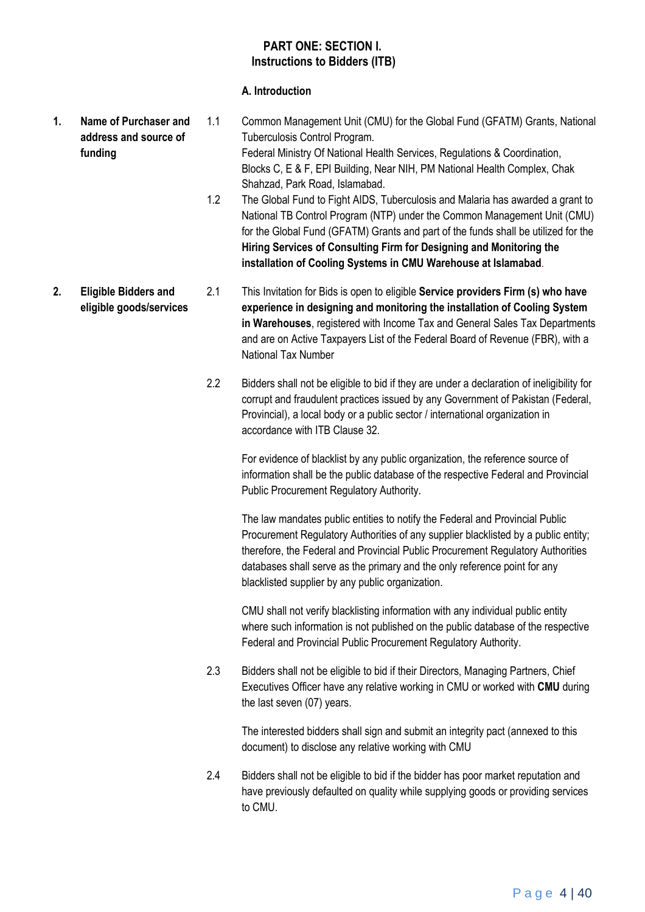#### **PART ONE: SECTION I. Instructions to Bidders (ITB)**

#### **A. Introduction**

- **1. Name of Purchaser and address and source of funding**  1.1 Common Management Unit (CMU) for the Global Fund (GFATM) Grants, National Tuberculosis Control Program. Federal Ministry Of National Health Services, Regulations & Coordination, Blocks C, E & F, EPI Building, Near NIH, PM National Health Complex, Chak Shahzad, Park Road, Islamabad.
	- 1.2 The Global Fund to Fight AIDS, Tuberculosis and Malaria has awarded a grant to National TB Control Program (NTP) under the Common Management Unit (CMU) for the Global Fund (GFATM) Grants and part of the funds shall be utilized for the **Hiring Services of Consulting Firm for Designing and Monitoring the installation of Cooling Systems in CMU Warehouse at Islamabad**.
- **2. Eligible Bidders and eligible goods/services** 2.1 This Invitation for Bids is open to eligible **Service providers Firm (s) who have experience in designing and monitoring the installation of Cooling System in Warehouses**, registered with Income Tax and General Sales Tax Departments and are on Active Taxpayers List of the Federal Board of Revenue (FBR), with a National Tax Number
	- 2.2 Bidders shall not be eligible to bid if they are under a declaration of ineligibility for corrupt and fraudulent practices issued by any Government of Pakistan (Federal, Provincial), a local body or a public sector / international organization in accordance with ITB Clause 32.

For evidence of blacklist by any public organization, the reference source of information shall be the public database of the respective Federal and Provincial Public Procurement Regulatory Authority.

The law mandates public entities to notify the Federal and Provincial Public Procurement Regulatory Authorities of any supplier blacklisted by a public entity; therefore, the Federal and Provincial Public Procurement Regulatory Authorities databases shall serve as the primary and the only reference point for any blacklisted supplier by any public organization.

CMU shall not verify blacklisting information with any individual public entity where such information is not published on the public database of the respective Federal and Provincial Public Procurement Regulatory Authority.

2.3 Bidders shall not be eligible to bid if their Directors, Managing Partners, Chief Executives Officer have any relative working in CMU or worked with **CMU** during the last seven (07) years.

The interested bidders shall sign and submit an integrity pact (annexed to this document) to disclose any relative working with CMU

2.4 Bidders shall not be eligible to bid if the bidder has poor market reputation and have previously defaulted on quality while supplying goods or providing services to CMU.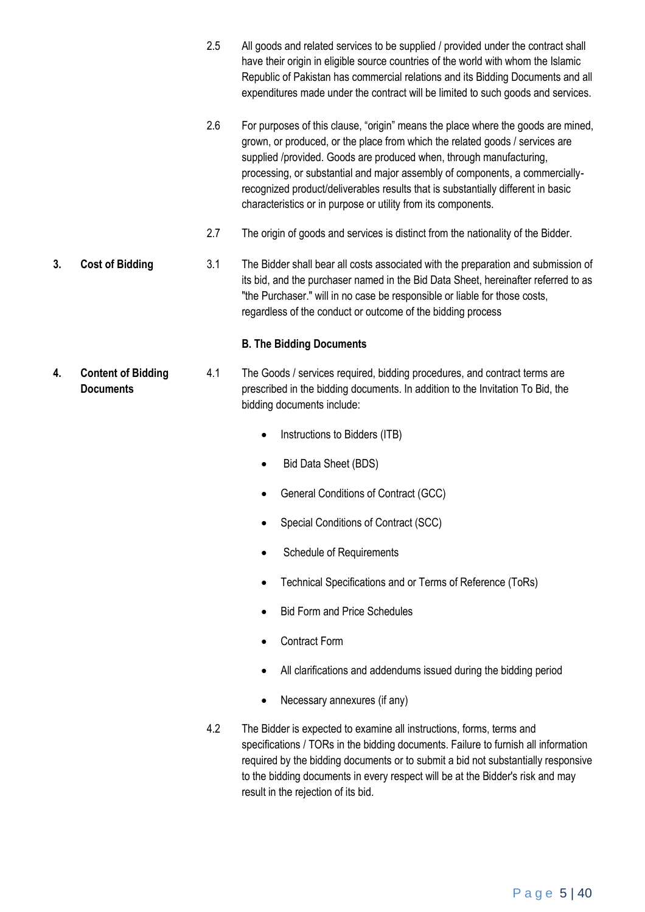- 2.5 All goods and related services to be supplied / provided under the contract shall have their origin in eligible source countries of the world with whom the Islamic Republic of Pakistan has commercial relations and its Bidding Documents and all expenditures made under the contract will be limited to such goods and services.
- 2.6 For purposes of this clause, "origin" means the place where the goods are mined, grown, or produced, or the place from which the related goods / services are supplied /provided. Goods are produced when, through manufacturing, processing, or substantial and major assembly of components, a commerciallyrecognized product/deliverables results that is substantially different in basic characteristics or in purpose or utility from its components.
- 2.7 The origin of goods and services is distinct from the nationality of the Bidder.
- **3. Cost of Bidding** 3.1 The Bidder shall bear all costs associated with the preparation and submission of its bid, and the purchaser named in the Bid Data Sheet, hereinafter referred to as "the Purchaser." will in no case be responsible or liable for those costs, regardless of the conduct or outcome of the bidding process

#### **B. The Bidding Documents**

- **4. Content of Bidding Documents** 4.1 The Goods / services required, bidding procedures, and contract terms are prescribed in the bidding documents. In addition to the Invitation To Bid, the bidding documents include:
	- Instructions to Bidders (ITB)
	- Bid Data Sheet (BDS)
	- General Conditions of Contract (GCC)
	- Special Conditions of Contract (SCC)
	- Schedule of Requirements
	- Technical Specifications and or Terms of Reference (ToRs)
	- Bid Form and Price Schedules
	- Contract Form
	- All clarifications and addendums issued during the bidding period
	- Necessary annexures (if any)
	- 4.2 The Bidder is expected to examine all instructions, forms, terms and specifications / TORs in the bidding documents. Failure to furnish all information required by the bidding documents or to submit a bid not substantially responsive to the bidding documents in every respect will be at the Bidder's risk and may result in the rejection of its bid.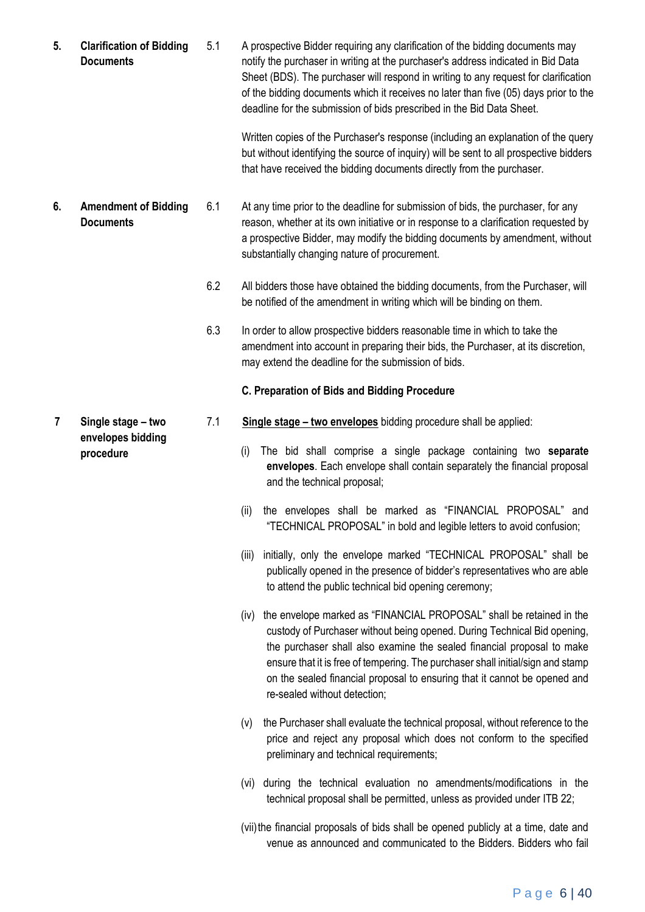**5. Clarification of Bidding Documents** 5.1 A prospective Bidder requiring any clarification of the bidding documents may notify the purchaser in writing at the purchaser's address indicated in Bid Data Sheet (BDS). The purchaser will respond in writing to any request for clarification of the bidding documents which it receives no later than five (05) days prior to the deadline for the submission of bids prescribed in the Bid Data Sheet.

> Written copies of the Purchaser's response (including an explanation of the query but without identifying the source of inquiry) will be sent to all prospective bidders that have received the bidding documents directly from the purchaser.

- **6. Amendment of Bidding Documents** 6.1 At any time prior to the deadline for submission of bids, the purchaser, for any reason, whether at its own initiative or in response to a clarification requested by a prospective Bidder, may modify the bidding documents by amendment, without substantially changing nature of procurement.
	- 6.2 All bidders those have obtained the bidding documents, from the Purchaser, will be notified of the amendment in writing which will be binding on them.
	- 6.3 In order to allow prospective bidders reasonable time in which to take the amendment into account in preparing their bids, the Purchaser, at its discretion, may extend the deadline for the submission of bids.

#### **C. Preparation of Bids and Bidding Procedure**

- 7.1 **Single stage – two envelopes** bidding procedure shall be applied:
	- (i) The bid shall comprise a single package containing two **separate envelopes**. Each envelope shall contain separately the financial proposal and the technical proposal;
	- (ii) the envelopes shall be marked as "FINANCIAL PROPOSAL" and "TECHNICAL PROPOSAL" in bold and legible letters to avoid confusion;
	- (iii) initially, only the envelope marked "TECHNICAL PROPOSAL" shall be publically opened in the presence of bidder's representatives who are able to attend the public technical bid opening ceremony;
	- (iv) the envelope marked as "FINANCIAL PROPOSAL" shall be retained in the custody of Purchaser without being opened. During Technical Bid opening, the purchaser shall also examine the sealed financial proposal to make ensure that it is free of tempering. The purchaser shall initial/sign and stamp on the sealed financial proposal to ensuring that it cannot be opened and re-sealed without detection;
	- (v) the Purchaser shall evaluate the technical proposal, without reference to the price and reject any proposal which does not conform to the specified preliminary and technical requirements;
	- (vi) during the technical evaluation no amendments/modifications in the technical proposal shall be permitted, unless as provided under ITB 22;
	- (vii)the financial proposals of bids shall be opened publicly at a time, date and venue as announced and communicated to the Bidders. Bidders who fail

**7 Single stage – two envelopes bidding procedure**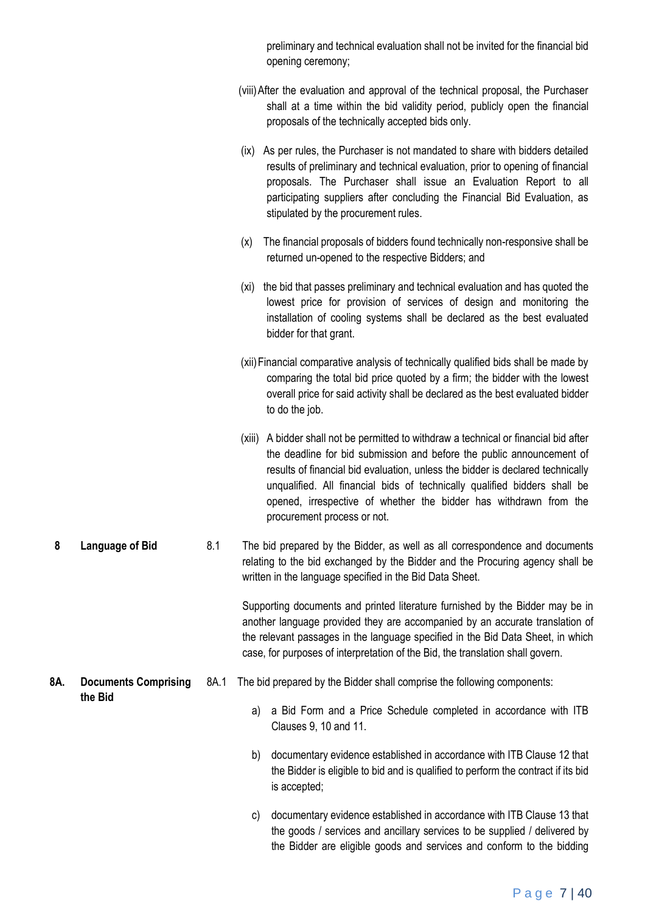|     |                             |      | preliminary and technical evaluation shall not be invited for the financial bid<br>opening ceremony;                                                                                                                                                                                                                                                                                                                              |
|-----|-----------------------------|------|-----------------------------------------------------------------------------------------------------------------------------------------------------------------------------------------------------------------------------------------------------------------------------------------------------------------------------------------------------------------------------------------------------------------------------------|
|     |                             |      | (viii) After the evaluation and approval of the technical proposal, the Purchaser<br>shall at a time within the bid validity period, publicly open the financial<br>proposals of the technically accepted bids only.                                                                                                                                                                                                              |
|     |                             |      | (ix) As per rules, the Purchaser is not mandated to share with bidders detailed<br>results of preliminary and technical evaluation, prior to opening of financial<br>proposals. The Purchaser shall issue an Evaluation Report to all<br>participating suppliers after concluding the Financial Bid Evaluation, as<br>stipulated by the procurement rules.                                                                        |
|     |                             |      | The financial proposals of bidders found technically non-responsive shall be<br>(x)<br>returned un-opened to the respective Bidders; and                                                                                                                                                                                                                                                                                          |
|     |                             |      | (xi) the bid that passes preliminary and technical evaluation and has quoted the<br>lowest price for provision of services of design and monitoring the<br>installation of cooling systems shall be declared as the best evaluated<br>bidder for that grant.                                                                                                                                                                      |
|     |                             |      | (xii) Financial comparative analysis of technically qualified bids shall be made by<br>comparing the total bid price quoted by a firm; the bidder with the lowest<br>overall price for said activity shall be declared as the best evaluated bidder<br>to do the job.                                                                                                                                                             |
|     |                             |      | (xiii) A bidder shall not be permitted to withdraw a technical or financial bid after<br>the deadline for bid submission and before the public announcement of<br>results of financial bid evaluation, unless the bidder is declared technically<br>unqualified. All financial bids of technically qualified bidders shall be<br>opened, irrespective of whether the bidder has withdrawn from the<br>procurement process or not. |
| 8   | <b>Language of Bid</b>      | 8.1  | The bid prepared by the Bidder, as well as all correspondence and documents<br>relating to the bid exchanged by the Bidder and the Procuring agency shall be<br>written in the language specified in the Bid Data Sheet.                                                                                                                                                                                                          |
|     |                             |      | Supporting documents and printed literature furnished by the Bidder may be in<br>another language provided they are accompanied by an accurate translation of<br>the relevant passages in the language specified in the Bid Data Sheet, in which<br>case, for purposes of interpretation of the Bid, the translation shall govern.                                                                                                |
| 8A. | <b>Documents Comprising</b> | 8A.1 | The bid prepared by the Bidder shall comprise the following components:                                                                                                                                                                                                                                                                                                                                                           |
|     | the Bid                     |      | a Bid Form and a Price Schedule completed in accordance with ITB<br>a)<br>Clauses 9, 10 and 11.                                                                                                                                                                                                                                                                                                                                   |
|     |                             |      | b)<br>documentary evidence established in accordance with ITB Clause 12 that<br>the Bidder is eligible to bid and is qualified to perform the contract if its bid<br>is accepted;                                                                                                                                                                                                                                                 |
|     |                             |      | documentary evidence established in accordance with ITB Clause 13 that<br>C)<br>the goods / services and ancillary services to be supplied / delivered by<br>the Bidder are eligible goods and services and conform to the bidding                                                                                                                                                                                                |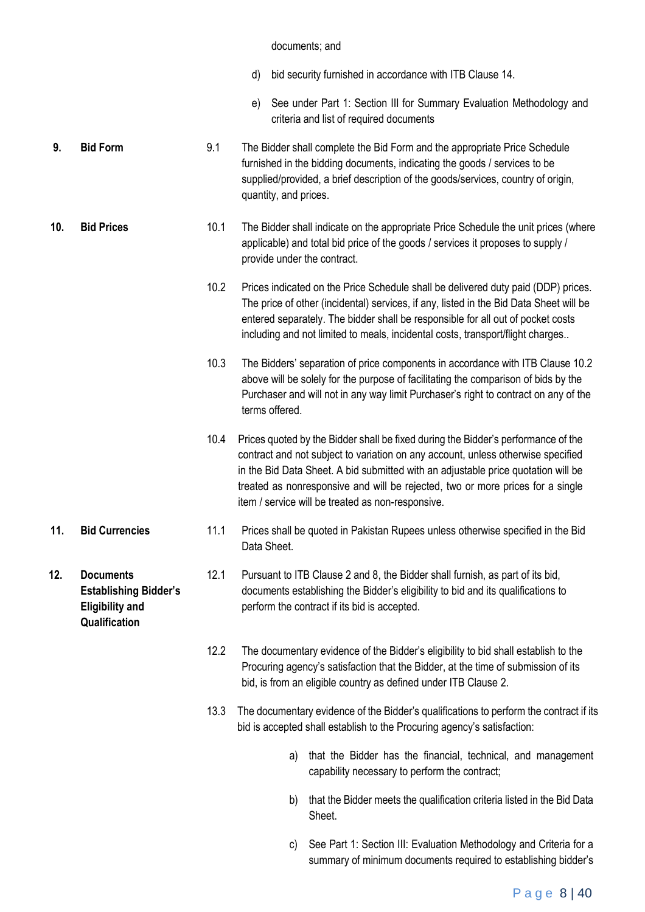#### documents; and

- d) bid security furnished in accordance with ITB Clause 14.
- e) See under Part 1: Section III for Summary Evaluation Methodology and criteria and list of required documents
- **9. Bid Form** 9.1 The Bidder shall complete the Bid Form and the appropriate Price Schedule furnished in the bidding documents, indicating the goods / services to be supplied/provided, a brief description of the goods/services, country of origin, quantity, and prices.
- **10. Bid Prices** 10.1 The Bidder shall indicate on the appropriate Price Schedule the unit prices (where applicable) and total bid price of the goods / services it proposes to supply / provide under the contract.
	- 10.2 Prices indicated on the Price Schedule shall be delivered duty paid (DDP) prices. The price of other (incidental) services, if any, listed in the Bid Data Sheet will be entered separately. The bidder shall be responsible for all out of pocket costs including and not limited to meals, incidental costs, transport/flight charges..
	- 10.3 The Bidders' separation of price components in accordance with ITB Clause 10.2 above will be solely for the purpose of facilitating the comparison of bids by the Purchaser and will not in any way limit Purchaser's right to contract on any of the terms offered.
	- 10.4 Prices quoted by the Bidder shall be fixed during the Bidder's performance of the contract and not subject to variation on any account, unless otherwise specified in the Bid Data Sheet. A bid submitted with an adjustable price quotation will be treated as nonresponsive and will be rejected, two or more prices for a single item / service will be treated as non-responsive.
- **11. Bid Currencies** 11.1 Prices shall be quoted in Pakistan Rupees unless otherwise specified in the Bid Data Sheet.
	- 12.1 Pursuant to ITB Clause 2 and 8, the Bidder shall furnish, as part of its bid, documents establishing the Bidder's eligibility to bid and its qualifications to perform the contract if its bid is accepted.
		- 12.2 The documentary evidence of the Bidder's eligibility to bid shall establish to the Procuring agency's satisfaction that the Bidder, at the time of submission of its bid, is from an eligible country as defined under ITB Clause 2.
		- 13.3 The documentary evidence of the Bidder's qualifications to perform the contract if its bid is accepted shall establish to the Procuring agency's satisfaction:
			- a) that the Bidder has the financial, technical, and management capability necessary to perform the contract;
			- b) that the Bidder meets the qualification criteria listed in the Bid Data Sheet.
			- c) See Part 1: Section III: Evaluation Methodology and Criteria for a summary of minimum documents required to establishing bidder's

**12. Documents Establishing Bidder's Eligibility and Qualification**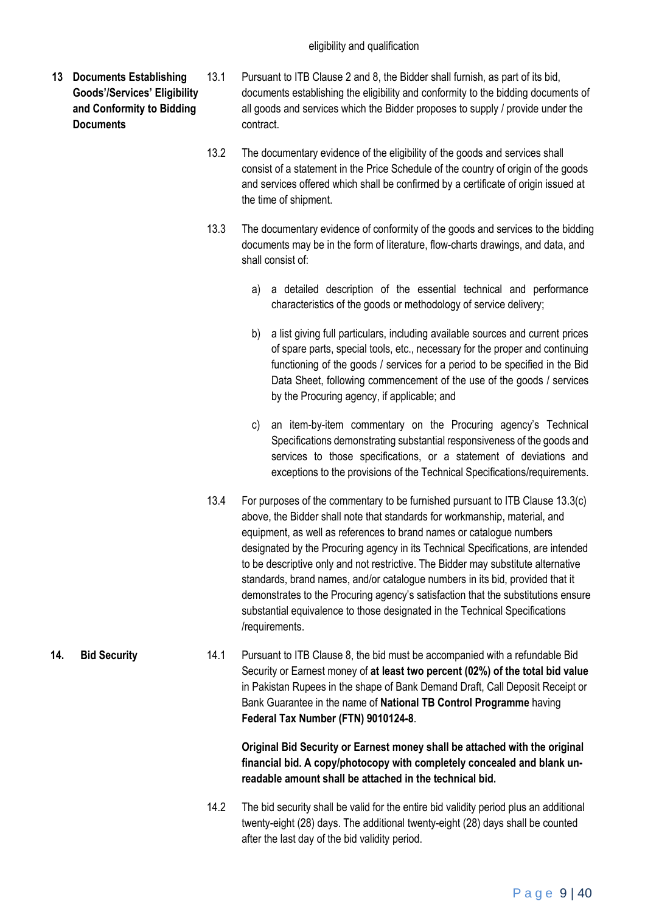- **13 Documents Establishing Goods'/Services' Eligibility and Conformity to Bidding Documents**
- 13.1 Pursuant to ITB Clause 2 and 8, the Bidder shall furnish, as part of its bid, documents establishing the eligibility and conformity to the bidding documents of all goods and services which the Bidder proposes to supply / provide under the contract.
	- 13.2 The documentary evidence of the eligibility of the goods and services shall consist of a statement in the Price Schedule of the country of origin of the goods and services offered which shall be confirmed by a certificate of origin issued at the time of shipment.
	- 13.3 The documentary evidence of conformity of the goods and services to the bidding documents may be in the form of literature, flow-charts drawings, and data, and shall consist of:
		- a) a detailed description of the essential technical and performance characteristics of the goods or methodology of service delivery;
		- b) a list giving full particulars, including available sources and current prices of spare parts, special tools, etc., necessary for the proper and continuing functioning of the goods / services for a period to be specified in the Bid Data Sheet, following commencement of the use of the goods / services by the Procuring agency, if applicable; and
		- c) an item-by-item commentary on the Procuring agency's Technical Specifications demonstrating substantial responsiveness of the goods and services to those specifications, or a statement of deviations and exceptions to the provisions of the Technical Specifications/requirements.
	- 13.4 For purposes of the commentary to be furnished pursuant to ITB Clause 13.3(c) above, the Bidder shall note that standards for workmanship, material, and equipment, as well as references to brand names or catalogue numbers designated by the Procuring agency in its Technical Specifications, are intended to be descriptive only and not restrictive. The Bidder may substitute alternative standards, brand names, and/or catalogue numbers in its bid, provided that it demonstrates to the Procuring agency's satisfaction that the substitutions ensure substantial equivalence to those designated in the Technical Specifications /requirements.
- **14. Bid Security** 14.1 Pursuant to ITB Clause 8, the bid must be accompanied with a refundable Bid Security or Earnest money of **at least two percent (02%) of the total bid value** in Pakistan Rupees in the shape of Bank Demand Draft, Call Deposit Receipt or Bank Guarantee in the name of **National TB Control Programme** having **Federal Tax Number (FTN) 9010124-8**.

**Original Bid Security or Earnest money shall be attached with the original financial bid. A copy/photocopy with completely concealed and blank unreadable amount shall be attached in the technical bid.**

14.2 The bid security shall be valid for the entire bid validity period plus an additional twenty-eight (28) days. The additional twenty-eight (28) days shall be counted after the last day of the bid validity period.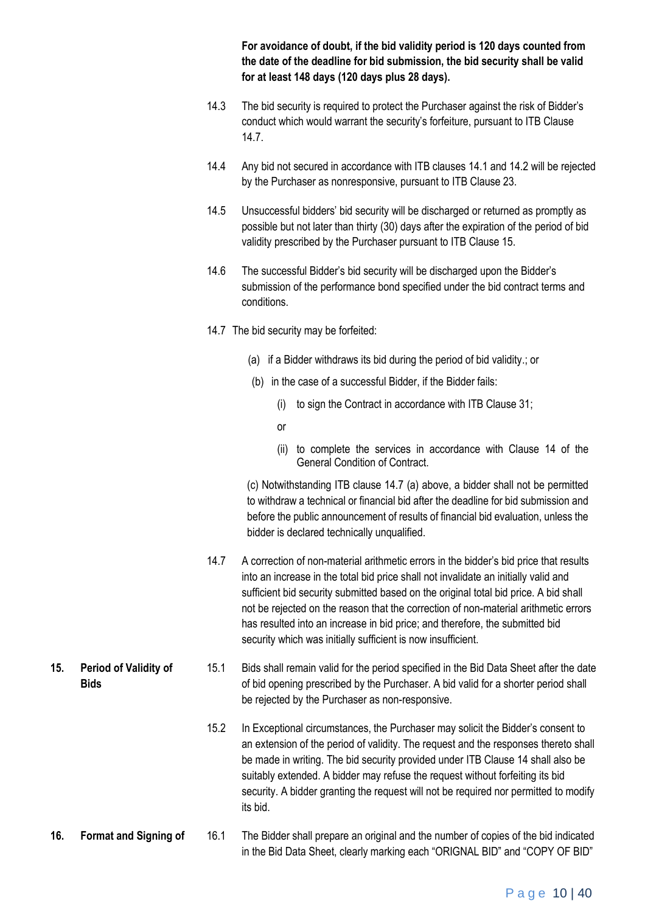**For avoidance of doubt, if the bid validity period is 120 days counted from the date of the deadline for bid submission, the bid security shall be valid for at least 148 days (120 days plus 28 days).** 

- 14.3 The bid security is required to protect the Purchaser against the risk of Bidder's conduct which would warrant the security's forfeiture, pursuant to ITB Clause 14.7.
- 14.4 Any bid not secured in accordance with ITB clauses 14.1 and 14.2 will be rejected by the Purchaser as nonresponsive, pursuant to ITB Clause 23.
- 14.5 Unsuccessful bidders' bid security will be discharged or returned as promptly as possible but not later than thirty (30) days after the expiration of the period of bid validity prescribed by the Purchaser pursuant to ITB Clause 15.
- 14.6 The successful Bidder's bid security will be discharged upon the Bidder's submission of the performance bond specified under the bid contract terms and conditions.
- 14.7 The bid security may be forfeited:
	- (a) if a Bidder withdraws its bid during the period of bid validity.; or
	- (b) in the case of a successful Bidder, if the Bidder fails:
		- (i) to sign the Contract in accordance with ITB Clause 31;
		- or
		- (ii) to complete the services in accordance with Clause 14 of the General Condition of Contract.

(c) Notwithstanding ITB clause 14.7 (a) above, a bidder shall not be permitted to withdraw a technical or financial bid after the deadline for bid submission and before the public announcement of results of financial bid evaluation, unless the bidder is declared technically unqualified.

- 14.7 A correction of non-material arithmetic errors in the bidder's bid price that results into an increase in the total bid price shall not invalidate an initially valid and sufficient bid security submitted based on the original total bid price. A bid shall not be rejected on the reason that the correction of non-material arithmetic errors has resulted into an increase in bid price; and therefore, the submitted bid security which was initially sufficient is now insufficient.
- **15. Period of Validity of Bids** 15.1 Bids shall remain valid for the period specified in the Bid Data Sheet after the date of bid opening prescribed by the Purchaser. A bid valid for a shorter period shall be rejected by the Purchaser as non-responsive.
	- 15.2 In Exceptional circumstances, the Purchaser may solicit the Bidder's consent to an extension of the period of validity. The request and the responses thereto shall be made in writing. The bid security provided under ITB Clause 14 shall also be suitably extended. A bidder may refuse the request without forfeiting its bid security. A bidder granting the request will not be required nor permitted to modify its bid.
- **16. Format and Signing of** 16.1 The Bidder shall prepare an original and the number of copies of the bid indicated in the Bid Data Sheet, clearly marking each "ORIGNAL BID" and "COPY OF BID"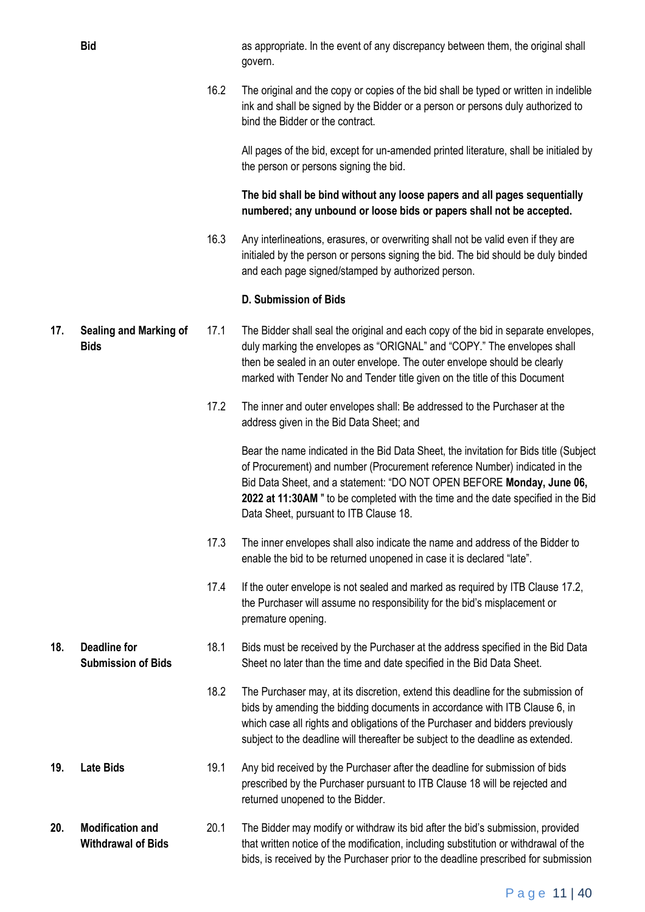**Bid** as appropriate. In the event of any discrepancy between them, the original shall govern.

> 16.2 The original and the copy or copies of the bid shall be typed or written in indelible ink and shall be signed by the Bidder or a person or persons duly authorized to bind the Bidder or the contract.

All pages of the bid, except for un-amended printed literature, shall be initialed by the person or persons signing the bid.

**The bid shall be bind without any loose papers and all pages sequentially numbered; any unbound or loose bids or papers shall not be accepted.** 

16.3 Any interlineations, erasures, or overwriting shall not be valid even if they are initialed by the person or persons signing the bid. The bid should be duly binded and each page signed/stamped by authorized person.

#### **D. Submission of Bids**

- **17. Sealing and Marking of Bids** 17.1 The Bidder shall seal the original and each copy of the bid in separate envelopes, duly marking the envelopes as "ORIGNAL" and "COPY." The envelopes shall then be sealed in an outer envelope. The outer envelope should be clearly marked with Tender No and Tender title given on the title of this Document
	- 17.2 The inner and outer envelopes shall: Be addressed to the Purchaser at the address given in the Bid Data Sheet; and

Bear the name indicated in the Bid Data Sheet, the invitation for Bids title (Subject of Procurement) and number (Procurement reference Number) indicated in the Bid Data Sheet, and a statement: "DO NOT OPEN BEFORE **Monday, June 06, 2022 at 11:30AM** " to be completed with the time and the date specified in the Bid Data Sheet, pursuant to ITB Clause 18.

- 17.3 The inner envelopes shall also indicate the name and address of the Bidder to enable the bid to be returned unopened in case it is declared "late".
- 17.4 If the outer envelope is not sealed and marked as required by ITB Clause 17.2, the Purchaser will assume no responsibility for the bid's misplacement or premature opening.
- **Submission of Bids** 18.1 Bids must be received by the Purchaser at the address specified in the Bid Data Sheet no later than the time and date specified in the Bid Data Sheet.
	- 18.2 The Purchaser may, at its discretion, extend this deadline for the submission of bids by amending the bidding documents in accordance with ITB Clause 6, in which case all rights and obligations of the Purchaser and bidders previously subject to the deadline will thereafter be subject to the deadline as extended.
- **19. Late Bids** 19.1 Any bid received by the Purchaser after the deadline for submission of bids prescribed by the Purchaser pursuant to ITB Clause 18 will be rejected and returned unopened to the Bidder.

**20. Modification and Withdrawal of Bids** 20.1 The Bidder may modify or withdraw its bid after the bid's submission, provided that written notice of the modification, including substitution or withdrawal of the bids, is received by the Purchaser prior to the deadline prescribed for submission

**18. Deadline for**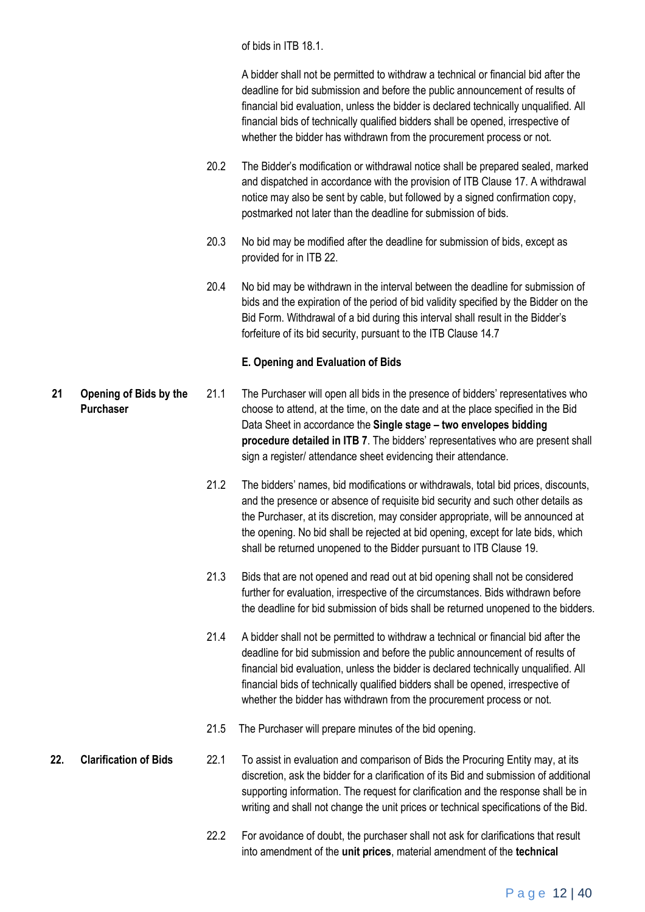of bids in ITB 18.1.

A bidder shall not be permitted to withdraw a technical or financial bid after the deadline for bid submission and before the public announcement of results of financial bid evaluation, unless the bidder is declared technically unqualified. All financial bids of technically qualified bidders shall be opened, irrespective of whether the bidder has withdrawn from the procurement process or not.

- 20.2 The Bidder's modification or withdrawal notice shall be prepared sealed, marked and dispatched in accordance with the provision of ITB Clause 17. A withdrawal notice may also be sent by cable, but followed by a signed confirmation copy, postmarked not later than the deadline for submission of bids.
- 20.3 No bid may be modified after the deadline for submission of bids, except as provided for in ITB 22.
- 20.4 No bid may be withdrawn in the interval between the deadline for submission of bids and the expiration of the period of bid validity specified by the Bidder on the Bid Form. Withdrawal of a bid during this interval shall result in the Bidder's forfeiture of its bid security, pursuant to the ITB Clause 14.7

#### **E. Opening and Evaluation of Bids**

- **21 Opening of Bids by the Purchaser** 21.1 The Purchaser will open all bids in the presence of bidders' representatives who choose to attend, at the time, on the date and at the place specified in the Bid Data Sheet in accordance the **Single stage – two envelopes bidding procedure detailed in ITB 7**. The bidders' representatives who are present shall sign a register/ attendance sheet evidencing their attendance.
	- 21.2 The bidders' names, bid modifications or withdrawals, total bid prices, discounts, and the presence or absence of requisite bid security and such other details as the Purchaser, at its discretion, may consider appropriate, will be announced at the opening. No bid shall be rejected at bid opening, except for late bids, which shall be returned unopened to the Bidder pursuant to ITB Clause 19.
	- 21.3 Bids that are not opened and read out at bid opening shall not be considered further for evaluation, irrespective of the circumstances. Bids withdrawn before the deadline for bid submission of bids shall be returned unopened to the bidders.
	- 21.4 A bidder shall not be permitted to withdraw a technical or financial bid after the deadline for bid submission and before the public announcement of results of financial bid evaluation, unless the bidder is declared technically unqualified. All financial bids of technically qualified bidders shall be opened, irrespective of whether the bidder has withdrawn from the procurement process or not.
	- 21.5 The Purchaser will prepare minutes of the bid opening.
- **22. Clarification of Bids** 22.1 To assist in evaluation and comparison of Bids the Procuring Entity may, at its discretion, ask the bidder for a clarification of its Bid and submission of additional supporting information. The request for clarification and the response shall be in writing and shall not change the unit prices or technical specifications of the Bid.
	- 22.2 For avoidance of doubt, the purchaser shall not ask for clarifications that result into amendment of the **unit prices**, material amendment of the **technical**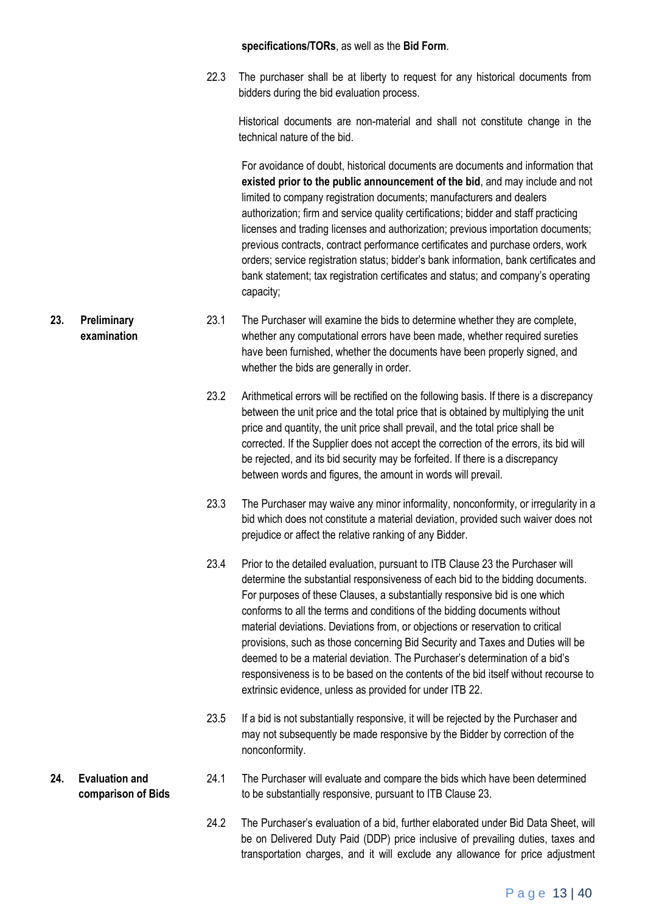#### **specifications/TORs**, as well as the **Bid Form**.

22.3 The purchaser shall be at liberty to request for any historical documents from bidders during the bid evaluation process.

Historical documents are non-material and shall not constitute change in the technical nature of the bid.

For avoidance of doubt, historical documents are documents and information that **existed prior to the public announcement of the bid**, and may include and not limited to company registration documents; manufacturers and dealers authorization; firm and service quality certifications; bidder and staff practicing licenses and trading licenses and authorization; previous importation documents; previous contracts, contract performance certificates and purchase orders, work orders; service registration status; bidder's bank information, bank certificates and bank statement; tax registration certificates and status; and company's operating capacity;

- 23.1 The Purchaser will examine the bids to determine whether they are complete, whether any computational errors have been made, whether required sureties have been furnished, whether the documents have been properly signed, and whether the bids are generally in order.
	- 23.2 Arithmetical errors will be rectified on the following basis. If there is a discrepancy between the unit price and the total price that is obtained by multiplying the unit price and quantity, the unit price shall prevail, and the total price shall be corrected. If the Supplier does not accept the correction of the errors, its bid will be rejected, and its bid security may be forfeited. If there is a discrepancy between words and figures, the amount in words will prevail.
	- 23.3 The Purchaser may waive any minor informality, nonconformity, or irregularity in a bid which does not constitute a material deviation, provided such waiver does not prejudice or affect the relative ranking of any Bidder.
	- 23.4 Prior to the detailed evaluation, pursuant to ITB Clause 23 the Purchaser will determine the substantial responsiveness of each bid to the bidding documents. For purposes of these Clauses, a substantially responsive bid is one which conforms to all the terms and conditions of the bidding documents without material deviations. Deviations from, or objections or reservation to critical provisions, such as those concerning Bid Security and Taxes and Duties will be deemed to be a material deviation. The Purchaser's determination of a bid's responsiveness is to be based on the contents of the bid itself without recourse to extrinsic evidence, unless as provided for under ITB 22.
	- 23.5 If a bid is not substantially responsive, it will be rejected by the Purchaser and may not subsequently be made responsive by the Bidder by correction of the nonconformity.
- 24.1 The Purchaser will evaluate and compare the bids which have been determined to be substantially responsive, pursuant to ITB Clause 23.
	- 24.2 The Purchaser's evaluation of a bid, further elaborated under Bid Data Sheet, will be on Delivered Duty Paid (DDP) price inclusive of prevailing duties, taxes and transportation charges, and it will exclude any allowance for price adjustment

**23. Preliminary examination**

**24. Evaluation and comparison of Bids**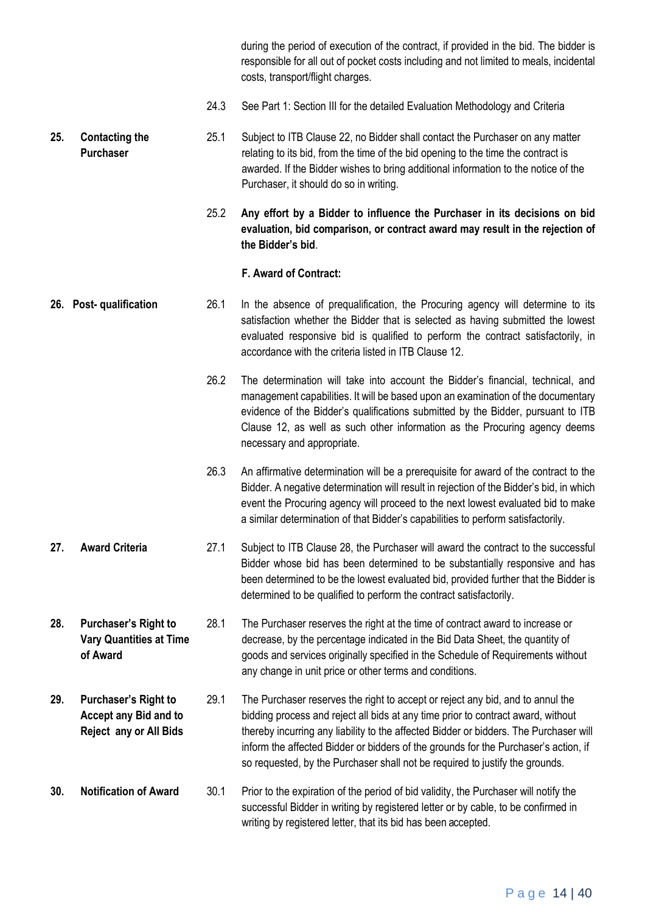during the period of execution of the contract, if provided in the bid. The bidder is responsible for all out of pocket costs including and not limited to meals, incidental costs, transport/flight charges.

24.3 See Part 1: Section III for the detailed Evaluation Methodology and Criteria

**25. Contacting the Purchaser** 25.1 Subject to ITB Clause 22, no Bidder shall contact the Purchaser on any matter relating to its bid, from the time of the bid opening to the time the contract is awarded. If the Bidder wishes to bring additional information to the notice of the Purchaser, it should do so in writing.

> 25.2 **Any effort by a Bidder to influence the Purchaser in its decisions on bid evaluation, bid comparison, or contract award may result in the rejection of the Bidder's bid**.

#### **F. Award of Contract:**

- **26. Post- qualification** 26.1 In the absence of prequalification, the Procuring agency will determine to its satisfaction whether the Bidder that is selected as having submitted the lowest evaluated responsive bid is qualified to perform the contract satisfactorily, in accordance with the criteria listed in ITB Clause 12.
	- 26.2 The determination will take into account the Bidder's financial, technical, and management capabilities. It will be based upon an examination of the documentary evidence of the Bidder's qualifications submitted by the Bidder, pursuant to ITB Clause 12, as well as such other information as the Procuring agency deems necessary and appropriate.
	- 26.3 An affirmative determination will be a prerequisite for award of the contract to the Bidder. A negative determination will result in rejection of the Bidder's bid, in which event the Procuring agency will proceed to the next lowest evaluated bid to make a similar determination of that Bidder's capabilities to perform satisfactorily.
- **27. Award Criteria** 27.1 Subject to ITB Clause 28, the Purchaser will award the contract to the successful Bidder whose bid has been determined to be substantially responsive and has been determined to be the lowest evaluated bid, provided further that the Bidder is determined to be qualified to perform the contract satisfactorily.
- **28. Purchaser's Right to Vary Quantities at Time of Award** 28.1 The Purchaser reserves the right at the time of contract award to increase or decrease, by the percentage indicated in the Bid Data Sheet, the quantity of goods and services originally specified in the Schedule of Requirements without any change in unit price or other terms and conditions.
- **29. Purchaser's Right to Accept any Bid and to Reject any or All Bids** 29.1 The Purchaser reserves the right to accept or reject any bid, and to annul the bidding process and reject all bids at any time prior to contract award, without thereby incurring any liability to the affected Bidder or bidders. The Purchaser will inform the affected Bidder or bidders of the grounds for the Purchaser's action, if so requested, by the Purchaser shall not be required to justify the grounds.
- **30. Notification of Award** 30.1 Prior to the expiration of the period of bid validity, the Purchaser will notify the successful Bidder in writing by registered letter or by cable, to be confirmed in writing by registered letter, that its bid has been accepted.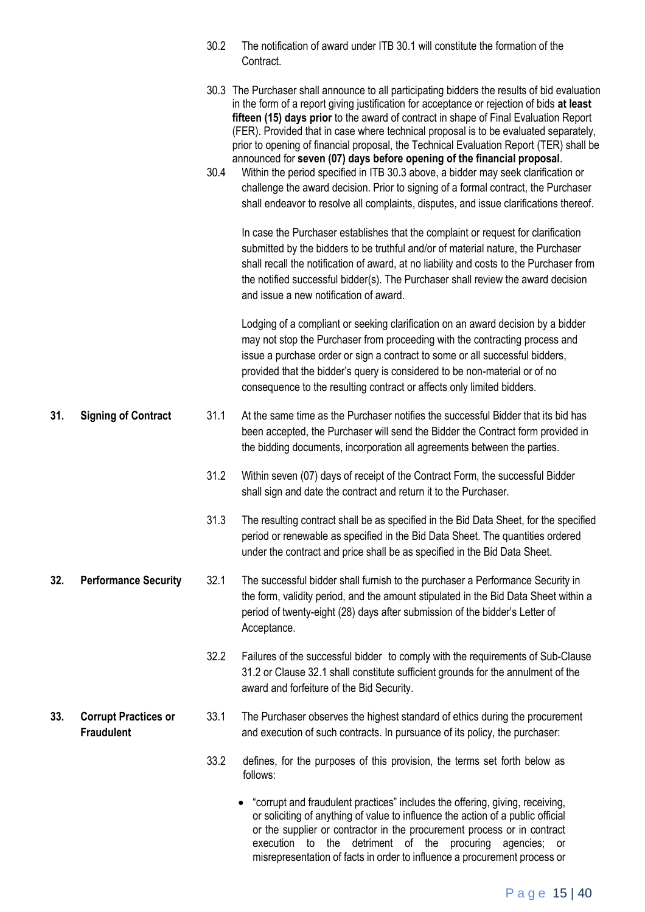|     |                                                  | 30.2 | The notification of award under ITB 30.1 will constitute the formation of the<br>Contract.                                                                                                                                                                                                                                                                                                                                                                                                                                                                                                                                                                                                                                                                                                                         |
|-----|--------------------------------------------------|------|--------------------------------------------------------------------------------------------------------------------------------------------------------------------------------------------------------------------------------------------------------------------------------------------------------------------------------------------------------------------------------------------------------------------------------------------------------------------------------------------------------------------------------------------------------------------------------------------------------------------------------------------------------------------------------------------------------------------------------------------------------------------------------------------------------------------|
|     |                                                  | 30.4 | 30.3 The Purchaser shall announce to all participating bidders the results of bid evaluation<br>in the form of a report giving justification for acceptance or rejection of bids at least<br>fifteen (15) days prior to the award of contract in shape of Final Evaluation Report<br>(FER). Provided that in case where technical proposal is to be evaluated separately,<br>prior to opening of financial proposal, the Technical Evaluation Report (TER) shall be<br>announced for seven (07) days before opening of the financial proposal.<br>Within the period specified in ITB 30.3 above, a bidder may seek clarification or<br>challenge the award decision. Prior to signing of a formal contract, the Purchaser<br>shall endeavor to resolve all complaints, disputes, and issue clarifications thereof. |
|     |                                                  |      | In case the Purchaser establishes that the complaint or request for clarification<br>submitted by the bidders to be truthful and/or of material nature, the Purchaser<br>shall recall the notification of award, at no liability and costs to the Purchaser from<br>the notified successful bidder(s). The Purchaser shall review the award decision<br>and issue a new notification of award.                                                                                                                                                                                                                                                                                                                                                                                                                     |
|     |                                                  |      | Lodging of a compliant or seeking clarification on an award decision by a bidder<br>may not stop the Purchaser from proceeding with the contracting process and<br>issue a purchase order or sign a contract to some or all successful bidders,<br>provided that the bidder's query is considered to be non-material or of no<br>consequence to the resulting contract or affects only limited bidders.                                                                                                                                                                                                                                                                                                                                                                                                            |
| 31. | <b>Signing of Contract</b>                       | 31.1 | At the same time as the Purchaser notifies the successful Bidder that its bid has<br>been accepted, the Purchaser will send the Bidder the Contract form provided in<br>the bidding documents, incorporation all agreements between the parties.                                                                                                                                                                                                                                                                                                                                                                                                                                                                                                                                                                   |
|     |                                                  | 31.2 | Within seven (07) days of receipt of the Contract Form, the successful Bidder<br>shall sign and date the contract and return it to the Purchaser.                                                                                                                                                                                                                                                                                                                                                                                                                                                                                                                                                                                                                                                                  |
|     |                                                  | 31.3 | The resulting contract shall be as specified in the Bid Data Sheet, for the specified<br>period or renewable as specified in the Bid Data Sheet. The quantities ordered<br>under the contract and price shall be as specified in the Bid Data Sheet.                                                                                                                                                                                                                                                                                                                                                                                                                                                                                                                                                               |
| 32. | <b>Performance Security</b>                      | 32.1 | The successful bidder shall furnish to the purchaser a Performance Security in<br>the form, validity period, and the amount stipulated in the Bid Data Sheet within a<br>period of twenty-eight (28) days after submission of the bidder's Letter of<br>Acceptance.                                                                                                                                                                                                                                                                                                                                                                                                                                                                                                                                                |
|     |                                                  | 32.2 | Failures of the successful bidder to comply with the requirements of Sub-Clause<br>31.2 or Clause 32.1 shall constitute sufficient grounds for the annulment of the<br>award and forfeiture of the Bid Security.                                                                                                                                                                                                                                                                                                                                                                                                                                                                                                                                                                                                   |
| 33. | <b>Corrupt Practices or</b><br><b>Fraudulent</b> | 33.1 | The Purchaser observes the highest standard of ethics during the procurement<br>and execution of such contracts. In pursuance of its policy, the purchaser:                                                                                                                                                                                                                                                                                                                                                                                                                                                                                                                                                                                                                                                        |
|     |                                                  | 33.2 | defines, for the purposes of this provision, the terms set forth below as<br>follows:                                                                                                                                                                                                                                                                                                                                                                                                                                                                                                                                                                                                                                                                                                                              |
|     |                                                  |      | "corrupt and fraudulent practices" includes the offering, giving, receiving,<br>or soliciting of anything of value to influence the action of a public official<br>or the supplier or contractor in the procurement process or in contract<br>execution to the detriment of the procuring agencies; or                                                                                                                                                                                                                                                                                                                                                                                                                                                                                                             |

misrepresentation of facts in order to influence a procurement process or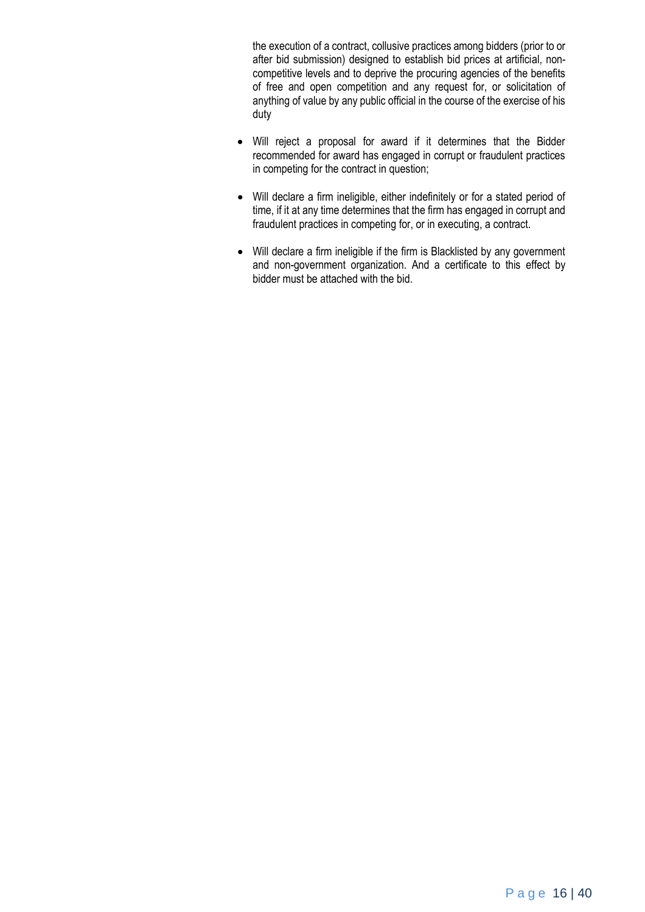the execution of a contract, collusive practices among bidders (prior to or after bid submission) designed to establish bid prices at artificial, noncompetitive levels and to deprive the procuring agencies of the benefits of free and open competition and any request for, or solicitation of anything of value by any public official in the course of the exercise of his duty

- Will reject a proposal for award if it determines that the Bidder recommended for award has engaged in corrupt or fraudulent practices in competing for the contract in question;
- Will declare a firm ineligible, either indefinitely or for a stated period of time, if it at any time determines that the firm has engaged in corrupt and fraudulent practices in competing for, or in executing, a contract.
- Will declare a firm ineligible if the firm is Blacklisted by any government and non-government organization. And a certificate to this effect by bidder must be attached with the bid.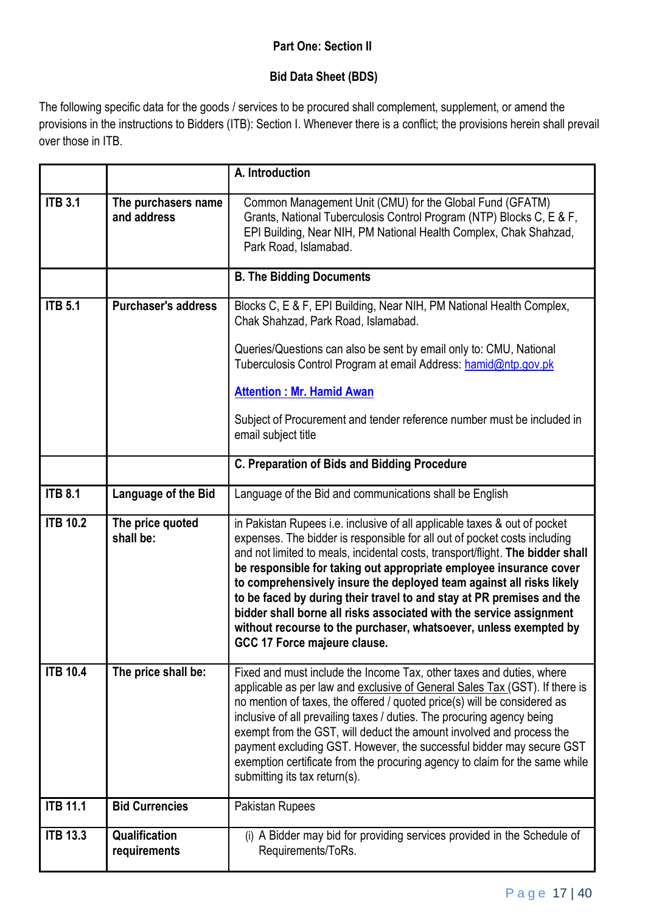# **Part One: Section II**

# **Bid Data Sheet (BDS)**

The following specific data for the goods / services to be procured shall complement, supplement, or amend the provisions in the instructions to Bidders (ITB): Section I. Whenever there is a conflict; the provisions herein shall prevail over those in ITB.

|                 |                                    | A. Introduction                                                                                                                                                                                                                                                                                                                                                                                                                                                                                                                                                                                                                             |
|-----------------|------------------------------------|---------------------------------------------------------------------------------------------------------------------------------------------------------------------------------------------------------------------------------------------------------------------------------------------------------------------------------------------------------------------------------------------------------------------------------------------------------------------------------------------------------------------------------------------------------------------------------------------------------------------------------------------|
| <b>ITB 3.1</b>  | The purchasers name<br>and address | Common Management Unit (CMU) for the Global Fund (GFATM)<br>Grants, National Tuberculosis Control Program (NTP) Blocks C, E & F,<br>EPI Building, Near NIH, PM National Health Complex, Chak Shahzad,<br>Park Road, Islamabad.                                                                                                                                                                                                                                                                                                                                                                                                              |
|                 |                                    | <b>B. The Bidding Documents</b>                                                                                                                                                                                                                                                                                                                                                                                                                                                                                                                                                                                                             |
| <b>ITB 5.1</b>  | <b>Purchaser's address</b>         | Blocks C, E & F, EPI Building, Near NIH, PM National Health Complex,<br>Chak Shahzad, Park Road, Islamabad.<br>Queries/Questions can also be sent by email only to: CMU, National<br>Tuberculosis Control Program at email Address: hamid@ntp.gov.pk<br><b>Attention: Mr. Hamid Awan</b><br>Subject of Procurement and tender reference number must be included in                                                                                                                                                                                                                                                                          |
|                 |                                    | email subject title                                                                                                                                                                                                                                                                                                                                                                                                                                                                                                                                                                                                                         |
|                 |                                    | C. Preparation of Bids and Bidding Procedure                                                                                                                                                                                                                                                                                                                                                                                                                                                                                                                                                                                                |
| <b>ITB 8.1</b>  | Language of the Bid                | Language of the Bid and communications shall be English                                                                                                                                                                                                                                                                                                                                                                                                                                                                                                                                                                                     |
| <b>ITB 10.2</b> | The price quoted<br>shall be:      | in Pakistan Rupees i.e. inclusive of all applicable taxes & out of pocket<br>expenses. The bidder is responsible for all out of pocket costs including<br>and not limited to meals, incidental costs, transport/flight. The bidder shall<br>be responsible for taking out appropriate employee insurance cover<br>to comprehensively insure the deployed team against all risks likely<br>to be faced by during their travel to and stay at PR premises and the<br>bidder shall borne all risks associated with the service assignment<br>without recourse to the purchaser, whatsoever, unless exempted by<br>GCC 17 Force majeure clause. |
| <b>ITB 10.4</b> | The price shall be:                | Fixed and must include the Income Tax, other taxes and duties, where<br>applicable as per law and exclusive of General Sales Tax (GST). If there is<br>no mention of taxes, the offered / quoted price(s) will be considered as<br>inclusive of all prevailing taxes / duties. The procuring agency being<br>exempt from the GST, will deduct the amount involved and process the<br>payment excluding GST. However, the successful bidder may secure GST<br>exemption certificate from the procuring agency to claim for the same while<br>submitting its tax return(s).                                                                   |
| <b>ITB 11.1</b> | <b>Bid Currencies</b>              | Pakistan Rupees                                                                                                                                                                                                                                                                                                                                                                                                                                                                                                                                                                                                                             |
| <b>ITB 13.3</b> | Qualification<br>requirements      | (i) A Bidder may bid for providing services provided in the Schedule of<br>Requirements/ToRs.                                                                                                                                                                                                                                                                                                                                                                                                                                                                                                                                               |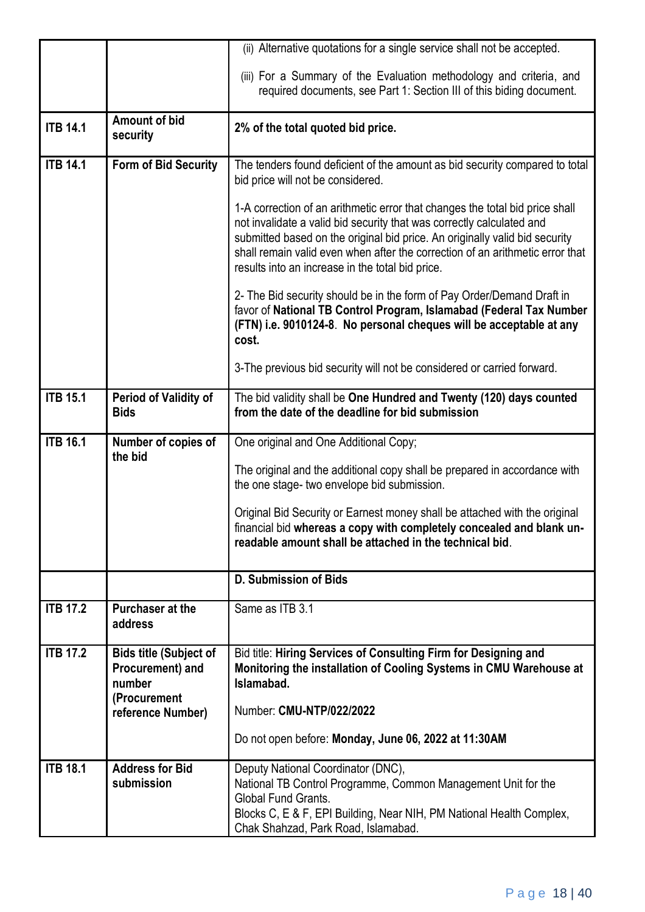|                      |                                                                             | (ii) Alternative quotations for a single service shall not be accepted.                                                                                                                                                                                                                                                                                                   |
|----------------------|-----------------------------------------------------------------------------|---------------------------------------------------------------------------------------------------------------------------------------------------------------------------------------------------------------------------------------------------------------------------------------------------------------------------------------------------------------------------|
|                      |                                                                             | (iii) For a Summary of the Evaluation methodology and criteria, and<br>required documents, see Part 1: Section III of this biding document.                                                                                                                                                                                                                               |
| <b>ITB 14.1</b>      | <b>Amount of bid</b><br>security                                            | 2% of the total quoted bid price.                                                                                                                                                                                                                                                                                                                                         |
| <b>ITB 14.1</b>      | <b>Form of Bid Security</b>                                                 | The tenders found deficient of the amount as bid security compared to total<br>bid price will not be considered.                                                                                                                                                                                                                                                          |
|                      |                                                                             | 1-A correction of an arithmetic error that changes the total bid price shall<br>not invalidate a valid bid security that was correctly calculated and<br>submitted based on the original bid price. An originally valid bid security<br>shall remain valid even when after the correction of an arithmetic error that<br>results into an increase in the total bid price. |
|                      |                                                                             | 2- The Bid security should be in the form of Pay Order/Demand Draft in<br>favor of National TB Control Program, Islamabad (Federal Tax Number<br>(FTN) i.e. 9010124-8. No personal cheques will be acceptable at any<br>cost.                                                                                                                                             |
|                      |                                                                             | 3-The previous bid security will not be considered or carried forward.                                                                                                                                                                                                                                                                                                    |
| <b>ITB 15.1</b>      | <b>Period of Validity of</b><br><b>Bids</b>                                 | The bid validity shall be One Hundred and Twenty (120) days counted<br>from the date of the deadline for bid submission                                                                                                                                                                                                                                                   |
| <b>ITB 16.1</b>      | Number of copies of<br>the bid                                              | One original and One Additional Copy;                                                                                                                                                                                                                                                                                                                                     |
|                      |                                                                             | The original and the additional copy shall be prepared in accordance with<br>the one stage- two envelope bid submission.                                                                                                                                                                                                                                                  |
|                      |                                                                             | Original Bid Security or Earnest money shall be attached with the original<br>financial bid whereas a copy with completely concealed and blank un-<br>readable amount shall be attached in the technical bid.                                                                                                                                                             |
|                      |                                                                             | <b>D. Submission of Bids</b>                                                                                                                                                                                                                                                                                                                                              |
| <b>ITB 17.2</b>      | Purchaser at the<br>address                                                 | Same as ITB 3.1                                                                                                                                                                                                                                                                                                                                                           |
| $\overline{IB}$ 17.2 | <b>Bids title (Subject of</b><br>Procurement) and<br>number<br>(Procurement | Bid title: Hiring Services of Consulting Firm for Designing and<br>Monitoring the installation of Cooling Systems in CMU Warehouse at<br>Islamabad.                                                                                                                                                                                                                       |
|                      | reference Number)                                                           | Number: CMU-NTP/022/2022                                                                                                                                                                                                                                                                                                                                                  |
|                      |                                                                             | Do not open before: Monday, June 06, 2022 at 11:30AM                                                                                                                                                                                                                                                                                                                      |
| <b>ITB 18.1</b>      | <b>Address for Bid</b><br>submission                                        | Deputy National Coordinator (DNC),<br>National TB Control Programme, Common Management Unit for the<br><b>Global Fund Grants.</b><br>Blocks C, E & F, EPI Building, Near NIH, PM National Health Complex,<br>Chak Shahzad, Park Road, Islamabad.                                                                                                                          |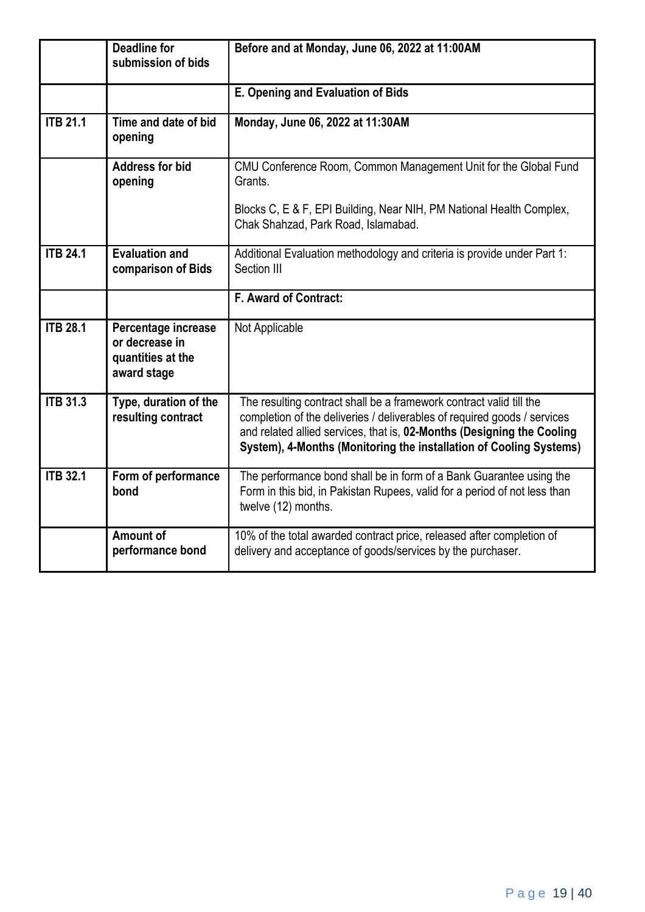|                 | <b>Deadline for</b><br>submission of bids                                 | Before and at Monday, June 06, 2022 at 11:00AM                                                                                                                                                                                                                                                  |
|-----------------|---------------------------------------------------------------------------|-------------------------------------------------------------------------------------------------------------------------------------------------------------------------------------------------------------------------------------------------------------------------------------------------|
|                 |                                                                           | E. Opening and Evaluation of Bids                                                                                                                                                                                                                                                               |
| <b>ITB 21.1</b> | Time and date of bid<br>opening                                           | Monday, June 06, 2022 at 11:30AM                                                                                                                                                                                                                                                                |
|                 | <b>Address for bid</b><br>opening                                         | CMU Conference Room, Common Management Unit for the Global Fund<br>Grants.                                                                                                                                                                                                                      |
|                 |                                                                           | Blocks C, E & F, EPI Building, Near NIH, PM National Health Complex,<br>Chak Shahzad, Park Road, Islamabad.                                                                                                                                                                                     |
| <b>ITB 24.1</b> | <b>Evaluation and</b><br>comparison of Bids                               | Additional Evaluation methodology and criteria is provide under Part 1:<br>Section III                                                                                                                                                                                                          |
|                 |                                                                           | F. Award of Contract:                                                                                                                                                                                                                                                                           |
| <b>ITB 28.1</b> | Percentage increase<br>or decrease in<br>quantities at the<br>award stage | Not Applicable                                                                                                                                                                                                                                                                                  |
| <b>ITB 31.3</b> | Type, duration of the<br>resulting contract                               | The resulting contract shall be a framework contract valid till the<br>completion of the deliveries / deliverables of required goods / services<br>and related allied services, that is, 02-Months (Designing the Cooling<br>System), 4-Months (Monitoring the installation of Cooling Systems) |
| <b>ITB 32.1</b> | Form of performance<br>bond                                               | The performance bond shall be in form of a Bank Guarantee using the<br>Form in this bid, in Pakistan Rupees, valid for a period of not less than<br>twelve (12) months.                                                                                                                         |
|                 | Amount of<br>performance bond                                             | 10% of the total awarded contract price, released after completion of<br>delivery and acceptance of goods/services by the purchaser.                                                                                                                                                            |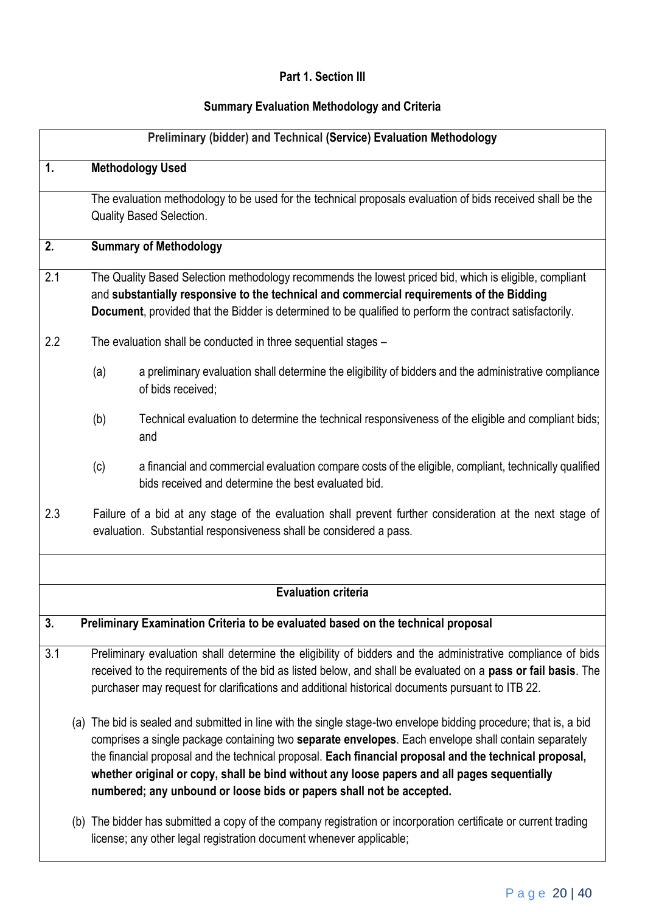# **Part 1. Section III**

# **Summary Evaluation Methodology and Criteria**

|     |                                                                                                                                                                                |                                                                                                                                                                                                                                                                                                                | Preliminary (bidder) and Technical (Service) Evaluation Methodology                                                                                                                                                                                                                                                                                                                                                                                                                                       |  |
|-----|--------------------------------------------------------------------------------------------------------------------------------------------------------------------------------|----------------------------------------------------------------------------------------------------------------------------------------------------------------------------------------------------------------------------------------------------------------------------------------------------------------|-----------------------------------------------------------------------------------------------------------------------------------------------------------------------------------------------------------------------------------------------------------------------------------------------------------------------------------------------------------------------------------------------------------------------------------------------------------------------------------------------------------|--|
| 1.  |                                                                                                                                                                                |                                                                                                                                                                                                                                                                                                                | <b>Methodology Used</b>                                                                                                                                                                                                                                                                                                                                                                                                                                                                                   |  |
|     |                                                                                                                                                                                |                                                                                                                                                                                                                                                                                                                | The evaluation methodology to be used for the technical proposals evaluation of bids received shall be the<br><b>Quality Based Selection.</b>                                                                                                                                                                                                                                                                                                                                                             |  |
| 2.  |                                                                                                                                                                                |                                                                                                                                                                                                                                                                                                                | <b>Summary of Methodology</b>                                                                                                                                                                                                                                                                                                                                                                                                                                                                             |  |
| 2.1 |                                                                                                                                                                                | The Quality Based Selection methodology recommends the lowest priced bid, which is eligible, compliant<br>and substantially responsive to the technical and commercial requirements of the Bidding<br>Document, provided that the Bidder is determined to be qualified to perform the contract satisfactorily. |                                                                                                                                                                                                                                                                                                                                                                                                                                                                                                           |  |
| 2.2 |                                                                                                                                                                                |                                                                                                                                                                                                                                                                                                                | The evaluation shall be conducted in three sequential stages -                                                                                                                                                                                                                                                                                                                                                                                                                                            |  |
|     |                                                                                                                                                                                | (a)                                                                                                                                                                                                                                                                                                            | a preliminary evaluation shall determine the eligibility of bidders and the administrative compliance<br>of bids received:                                                                                                                                                                                                                                                                                                                                                                                |  |
|     |                                                                                                                                                                                | (b)                                                                                                                                                                                                                                                                                                            | Technical evaluation to determine the technical responsiveness of the eligible and compliant bids;<br>and                                                                                                                                                                                                                                                                                                                                                                                                 |  |
|     |                                                                                                                                                                                | (c)                                                                                                                                                                                                                                                                                                            | a financial and commercial evaluation compare costs of the eligible, compliant, technically qualified<br>bids received and determine the best evaluated bid.                                                                                                                                                                                                                                                                                                                                              |  |
| 2.3 | Failure of a bid at any stage of the evaluation shall prevent further consideration at the next stage of<br>evaluation. Substantial responsiveness shall be considered a pass. |                                                                                                                                                                                                                                                                                                                |                                                                                                                                                                                                                                                                                                                                                                                                                                                                                                           |  |
|     |                                                                                                                                                                                |                                                                                                                                                                                                                                                                                                                | <b>Evaluation criteria</b>                                                                                                                                                                                                                                                                                                                                                                                                                                                                                |  |
|     |                                                                                                                                                                                |                                                                                                                                                                                                                                                                                                                |                                                                                                                                                                                                                                                                                                                                                                                                                                                                                                           |  |
| 3.  |                                                                                                                                                                                |                                                                                                                                                                                                                                                                                                                | Preliminary Examination Criteria to be evaluated based on the technical proposal                                                                                                                                                                                                                                                                                                                                                                                                                          |  |
| 3.1 |                                                                                                                                                                                |                                                                                                                                                                                                                                                                                                                | Preliminary evaluation shall determine the eligibility of bidders and the administrative compliance of bids<br>received to the requirements of the bid as listed below, and shall be evaluated on a pass or fail basis. The<br>purchaser may request for clarifications and additional historical documents pursuant to ITB 22.                                                                                                                                                                           |  |
|     |                                                                                                                                                                                |                                                                                                                                                                                                                                                                                                                | (a) The bid is sealed and submitted in line with the single stage-two envelope bidding procedure; that is, a bid<br>comprises a single package containing two separate envelopes. Each envelope shall contain separately<br>the financial proposal and the technical proposal. Each financial proposal and the technical proposal,<br>whether original or copy, shall be bind without any loose papers and all pages sequentially<br>numbered; any unbound or loose bids or papers shall not be accepted. |  |
|     |                                                                                                                                                                                |                                                                                                                                                                                                                                                                                                                | (b) The bidder has submitted a copy of the company registration or incorporation certificate or current trading<br>license; any other legal registration document whenever applicable;                                                                                                                                                                                                                                                                                                                    |  |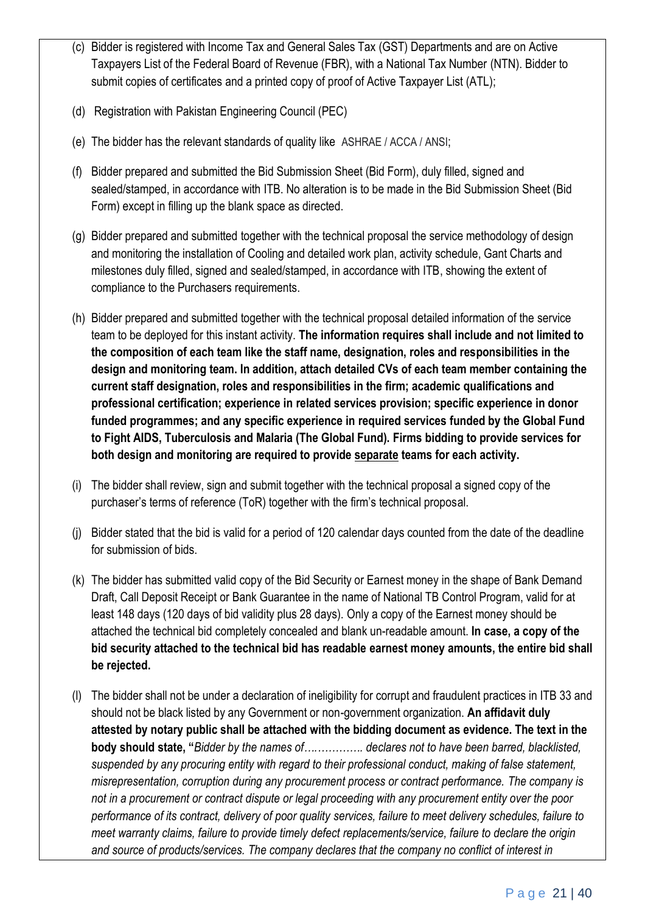- (c) Bidder is registered with Income Tax and General Sales Tax (GST) Departments and are on Active Taxpayers List of the Federal Board of Revenue (FBR), with a National Tax Number (NTN). Bidder to submit copies of certificates and a printed copy of proof of Active Taxpayer List (ATL);
- (d) Registration with Pakistan Engineering Council (PEC)
- (e) The bidder has the relevant standards of quality like ASHRAE / ACCA / ANSI;
- (f) Bidder prepared and submitted the Bid Submission Sheet (Bid Form), duly filled, signed and sealed/stamped, in accordance with ITB. No alteration is to be made in the Bid Submission Sheet (Bid Form) except in filling up the blank space as directed.
- (g) Bidder prepared and submitted together with the technical proposal the service methodology of design and monitoring the installation of Cooling and detailed work plan, activity schedule, Gant Charts and milestones duly filled, signed and sealed/stamped, in accordance with ITB, showing the extent of compliance to the Purchasers requirements.
- (h) Bidder prepared and submitted together with the technical proposal detailed information of the service team to be deployed for this instant activity. **The information requires shall include and not limited to the composition of each team like the staff name, designation, roles and responsibilities in the design and monitoring team. In addition, attach detailed CVs of each team member containing the current staff designation, roles and responsibilities in the firm; academic qualifications and professional certification; experience in related services provision; specific experience in donor funded programmes; and any specific experience in required services funded by the Global Fund to Fight AIDS, Tuberculosis and Malaria (The Global Fund). Firms bidding to provide services for both design and monitoring are required to provide separate teams for each activity.**
- (i) The bidder shall review, sign and submit together with the technical proposal a signed copy of the purchaser's terms of reference (ToR) together with the firm's technical proposal.
- (j) Bidder stated that the bid is valid for a period of 120 calendar days counted from the date of the deadline for submission of bids.
- (k) The bidder has submitted valid copy of the Bid Security or Earnest money in the shape of Bank Demand Draft, Call Deposit Receipt or Bank Guarantee in the name of National TB Control Program, valid for at least 148 days (120 days of bid validity plus 28 days). Only a copy of the Earnest money should be attached the technical bid completely concealed and blank un-readable amount. **In case, a copy of the bid security attached to the technical bid has readable earnest money amounts, the entire bid shall be rejected.**
- (l) The bidder shall not be under a declaration of ineligibility for corrupt and fraudulent practices in ITB 33 and should not be black listed by any Government or non-government organization. **An affidavit duly attested by notary public shall be attached with the bidding document as evidence. The text in the body should state, "***Bidder by the names of….…………. declares not to have been barred, blacklisted, suspended by any procuring entity with regard to their professional conduct, making of false statement, misrepresentation, corruption during any procurement process or contract performance. The company is not in a procurement or contract dispute or legal proceeding with any procurement entity over the poor performance of its contract, delivery of poor quality services, failure to meet delivery schedules, failure to meet warranty claims, failure to provide timely defect replacements/service, failure to declare the origin and source of products/services. The company declares that the company no conflict of interest in*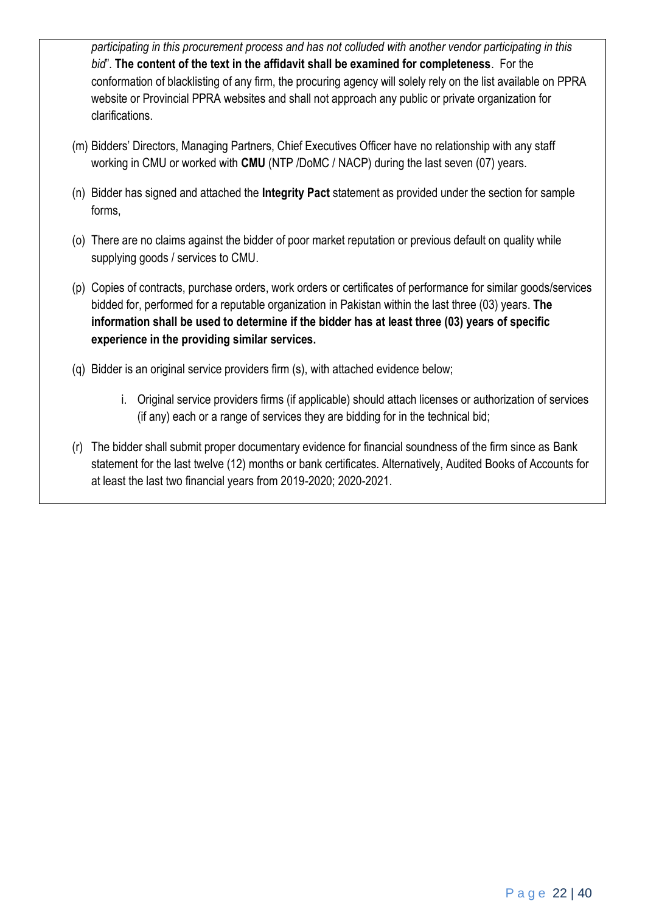*participating in this procurement process and has not colluded with another vendor participating in this bid*". **The content of the text in the affidavit shall be examined for completeness**. For the conformation of blacklisting of any firm, the procuring agency will solely rely on the list available on PPRA website or Provincial PPRA websites and shall not approach any public or private organization for clarifications.

- (m) Bidders' Directors, Managing Partners, Chief Executives Officer have no relationship with any staff working in CMU or worked with **CMU** (NTP /DoMC / NACP) during the last seven (07) years.
- (n) Bidder has signed and attached the **Integrity Pact** statement as provided under the section for sample forms,
- (o) There are no claims against the bidder of poor market reputation or previous default on quality while supplying goods / services to CMU.
- (p) Copies of contracts, purchase orders, work orders or certificates of performance for similar goods/services bidded for, performed for a reputable organization in Pakistan within the last three (03) years. **The information shall be used to determine if the bidder has at least three (03) years of specific experience in the providing similar services.**
- (q) Bidder is an original service providers firm (s), with attached evidence below;
	- i. Original service providers firms (if applicable) should attach licenses or authorization of services (if any) each or a range of services they are bidding for in the technical bid;
- (r) The bidder shall submit proper documentary evidence for financial soundness of the firm since as Bank statement for the last twelve (12) months or bank certificates. Alternatively, Audited Books of Accounts for at least the last two financial years from 2019-2020; 2020-2021.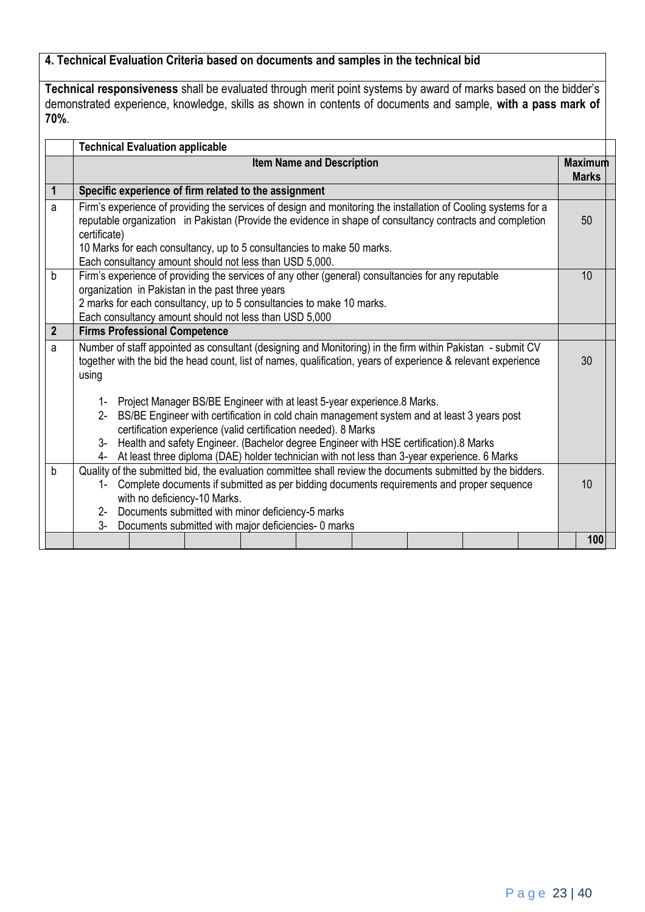# **4. Technical Evaluation Criteria based on documents and samples in the technical bid**

**Technical responsiveness** shall be evaluated through merit point systems by award of marks based on the bidder's demonstrated experience, knowledge, skills as shown in contents of documents and sample, **with a pass mark of 70%**.

|                | <b>Technical Evaluation applicable</b>                                                                                                                                                                                                                                                                                                                                                                                                                          |                                |  |  |  |
|----------------|-----------------------------------------------------------------------------------------------------------------------------------------------------------------------------------------------------------------------------------------------------------------------------------------------------------------------------------------------------------------------------------------------------------------------------------------------------------------|--------------------------------|--|--|--|
|                | <b>Item Name and Description</b>                                                                                                                                                                                                                                                                                                                                                                                                                                | <b>Maximum</b><br><b>Marks</b> |  |  |  |
| 1              | Specific experience of firm related to the assignment                                                                                                                                                                                                                                                                                                                                                                                                           |                                |  |  |  |
| a              | Firm's experience of providing the services of design and monitoring the installation of Cooling systems for a<br>reputable organization in Pakistan (Provide the evidence in shape of consultancy contracts and completion<br>certificate)<br>10 Marks for each consultancy, up to 5 consultancies to make 50 marks.<br>Each consultancy amount should not less than USD 5,000.                                                                                | 50                             |  |  |  |
| $\mathsf{b}$   | Firm's experience of providing the services of any other (general) consultancies for any reputable<br>organization in Pakistan in the past three years<br>2 marks for each consultancy, up to 5 consultancies to make 10 marks.<br>Each consultancy amount should not less than USD 5,000                                                                                                                                                                       | 10                             |  |  |  |
| $\overline{2}$ | <b>Firms Professional Competence</b>                                                                                                                                                                                                                                                                                                                                                                                                                            |                                |  |  |  |
| a              | Number of staff appointed as consultant (designing and Monitoring) in the firm within Pakistan - submit CV<br>together with the bid the head count, list of names, qualification, years of experience & relevant experience<br>using                                                                                                                                                                                                                            |                                |  |  |  |
|                | Project Manager BS/BE Engineer with at least 5-year experience.8 Marks.<br>$1 -$<br>BS/BE Engineer with certification in cold chain management system and at least 3 years post<br>$2 -$<br>certification experience (valid certification needed). 8 Marks<br>Health and safety Engineer. (Bachelor degree Engineer with HSE certification).8 Marks<br>3-<br>At least three diploma (DAE) holder technician with not less than 3-year experience. 6 Marks<br>4- |                                |  |  |  |
| b              | Quality of the submitted bid, the evaluation committee shall review the documents submitted by the bidders.<br>Complete documents if submitted as per bidding documents requirements and proper sequence<br>1-<br>with no deficiency-10 Marks.<br>Documents submitted with minor deficiency-5 marks<br>$2 -$<br>$3-$<br>Documents submitted with major deficiencies- 0 marks                                                                                    |                                |  |  |  |
|                |                                                                                                                                                                                                                                                                                                                                                                                                                                                                 | 100                            |  |  |  |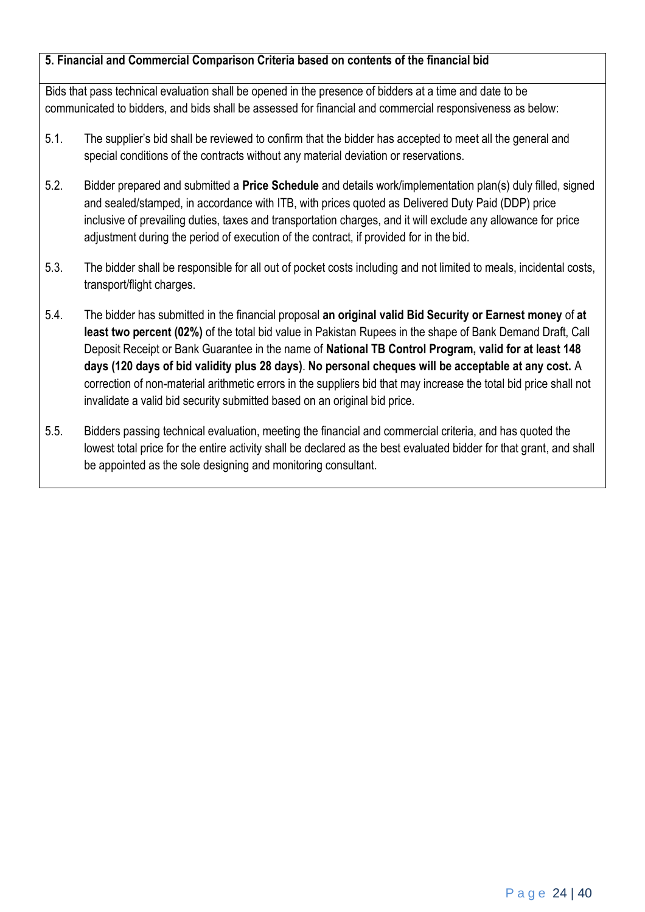# **5. Financial and Commercial Comparison Criteria based on contents of the financial bid**

Bids that pass technical evaluation shall be opened in the presence of bidders at a time and date to be communicated to bidders, and bids shall be assessed for financial and commercial responsiveness as below:

- 5.1. The supplier's bid shall be reviewed to confirm that the bidder has accepted to meet all the general and special conditions of the contracts without any material deviation or reservations.
- 5.2. Bidder prepared and submitted a **Price Schedule** and details work/implementation plan(s) duly filled, signed and sealed/stamped, in accordance with ITB, with prices quoted as Delivered Duty Paid (DDP) price inclusive of prevailing duties, taxes and transportation charges, and it will exclude any allowance for price adjustment during the period of execution of the contract, if provided for in the bid.
- 5.3. The bidder shall be responsible for all out of pocket costs including and not limited to meals, incidental costs, transport/flight charges.
- 5.4. The bidder has submitted in the financial proposal **an original valid Bid Security or Earnest money** of **at least two percent (02%)** of the total bid value in Pakistan Rupees in the shape of Bank Demand Draft, Call Deposit Receipt or Bank Guarantee in the name of **National TB Control Program, valid for at least 148 days (120 days of bid validity plus 28 days)**. **No personal cheques will be acceptable at any cost.** A correction of non-material arithmetic errors in the suppliers bid that may increase the total bid price shall not invalidate a valid bid security submitted based on an original bid price.
- 5.5. Bidders passing technical evaluation, meeting the financial and commercial criteria, and has quoted the lowest total price for the entire activity shall be declared as the best evaluated bidder for that grant, and shall be appointed as the sole designing and monitoring consultant.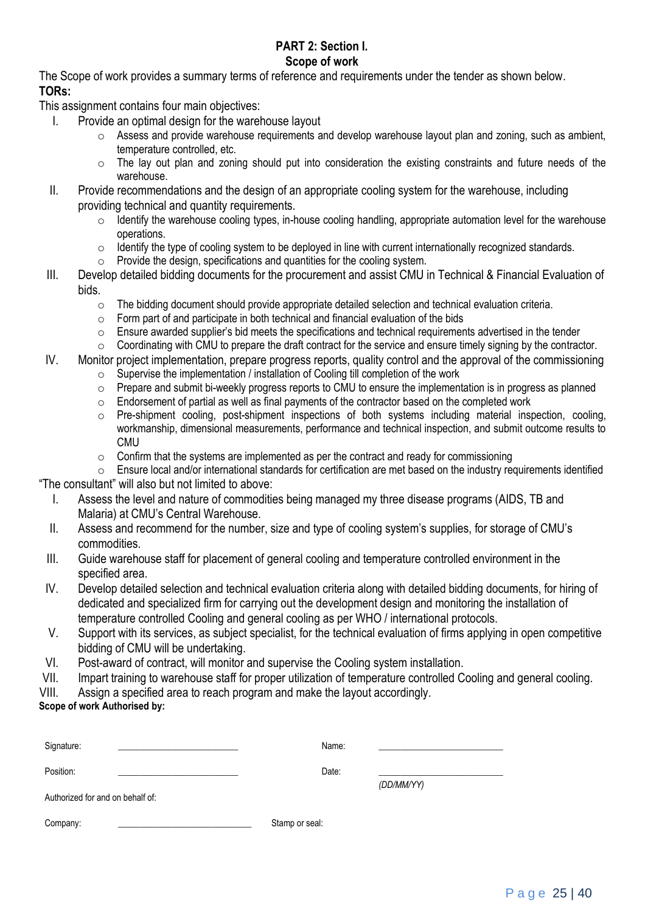#### **PART 2: Section I. Scope of work**

The Scope of work provides a summary terms of reference and requirements under the tender as shown below. **TORs:**

This assignment contains four main objectives:

- I. Provide an optimal design for the warehouse layout
	- o Assess and provide warehouse requirements and develop warehouse layout plan and zoning, such as ambient, temperature controlled, etc.
	- o The lay out plan and zoning should put into consideration the existing constraints and future needs of the warehouse.
- II. Provide recommendations and the design of an appropriate cooling system for the warehouse, including providing technical and quantity requirements.
	- o Identify the warehouse cooling types, in-house cooling handling, appropriate automation level for the warehouse operations.
	- o Identify the type of cooling system to be deployed in line with current internationally recognized standards.
	- $\circ$  Provide the design, specifications and quantities for the cooling system.
- III. Develop detailed bidding documents for the procurement and assist CMU in Technical & Financial Evaluation of bids.
	- o The bidding document should provide appropriate detailed selection and technical evaluation criteria.
	- $\circ$  Form part of and participate in both technical and financial evaluation of the bids
	- $\circ$  Ensure awarded supplier's bid meets the specifications and technical requirements advertised in the tender  $\circ$  Coordinating with CMU to prepare the draft contract for the service and ensure timely signing by the con
	- Coordinating with CMU to prepare the draft contract for the service and ensure timely signing by the contractor.
- IV. Monitor project implementation, prepare progress reports, quality control and the approval of the commissioning o Supervise the implementation / installation of Cooling till completion of the work
	- o Prepare and submit bi-weekly progress reports to CMU to ensure the implementation is in progress as planned
	- $\circ$  Endorsement of partial as well as final payments of the contractor based on the completed work
	- $\circ$  Pre-shipment cooling, post-shipment inspections of both systems including material inspection, cooling, workmanship, dimensional measurements, performance and technical inspection, and submit outcome results to CMU
	- $\circ$  Confirm that the systems are implemented as per the contract and ready for commissioning
- o Ensure local and/or international standards for certification are met based on the industry requirements identified "The consultant" will also but not limited to above:
	- I. Assess the level and nature of commodities being managed my three disease programs (AIDS, TB and Malaria) at CMU's Central Warehouse.
	- II. Assess and recommend for the number, size and type of cooling system's supplies, for storage of CMU's commodities.
- III. Guide warehouse staff for placement of general cooling and temperature controlled environment in the specified area.
- IV. Develop detailed selection and technical evaluation criteria along with detailed bidding documents, for hiring of dedicated and specialized firm for carrying out the development design and monitoring the installation of temperature controlled Cooling and general cooling as per WHO / international protocols.
- V. Support with its services, as subject specialist, for the technical evaluation of firms applying in open competitive bidding of CMU will be undertaking.
- VI. Post-award of contract, will monitor and supervise the Cooling system installation.
- VII. Impart training to warehouse staff for proper utilization of temperature controlled Cooling and general cooling.
- VIII. Assign a specified area to reach program and make the layout accordingly.

# **Scope of work Authorised by:**

| Signature:                                    | Name:          |            |
|-----------------------------------------------|----------------|------------|
| Position:<br>Authorized for and on behalf of: | Date:          | (DD/MM/YY) |
| Company:                                      | Stamp or seal: |            |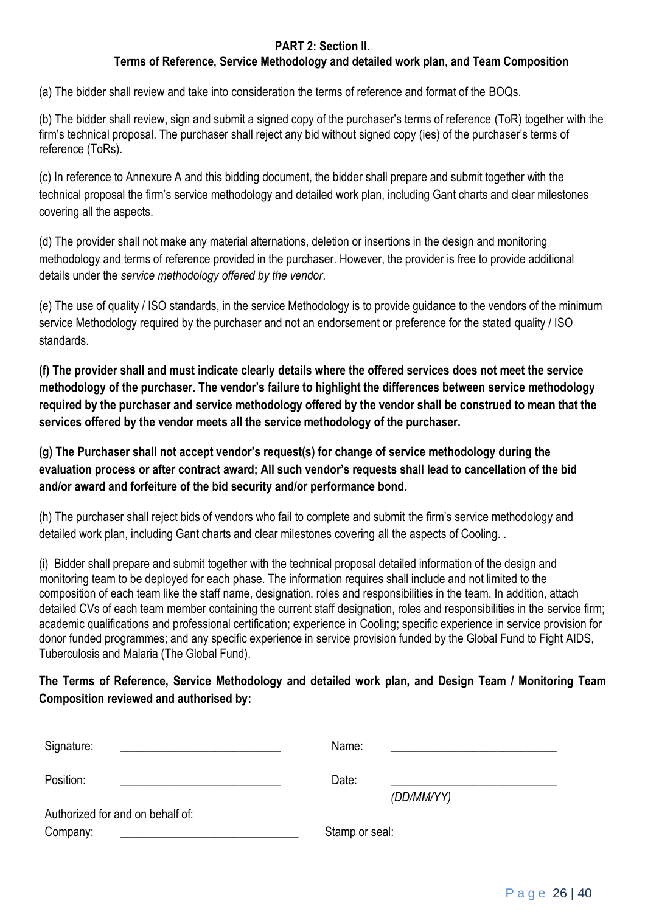# **PART 2: Section II.**

# **Terms of Reference, Service Methodology and detailed work plan, and Team Composition**

(a) The bidder shall review and take into consideration the terms of reference and format of the BOQs.

(b) The bidder shall review, sign and submit a signed copy of the purchaser's terms of reference (ToR) together with the firm's technical proposal. The purchaser shall reject any bid without signed copy (ies) of the purchaser's terms of reference (ToRs).

(c) In reference to Annexure A and this bidding document, the bidder shall prepare and submit together with the technical proposal the firm's service methodology and detailed work plan, including Gant charts and clear milestones covering all the aspects.

(d) The provider shall not make any material alternations, deletion or insertions in the design and monitoring methodology and terms of reference provided in the purchaser. However, the provider is free to provide additional details under the *service methodology offered by the vendor*.

(e) The use of quality / ISO standards, in the service Methodology is to provide guidance to the vendors of the minimum service Methodology required by the purchaser and not an endorsement or preference for the stated quality / ISO standards.

**(f) The provider shall and must indicate clearly details where the offered services does not meet the service methodology of the purchaser. The vendor's failure to highlight the differences between service methodology required by the purchaser and service methodology offered by the vendor shall be construed to mean that the services offered by the vendor meets all the service methodology of the purchaser.** 

**(g) The Purchaser shall not accept vendor's request(s) for change of service methodology during the evaluation process or after contract award; All such vendor's requests shall lead to cancellation of the bid and/or award and forfeiture of the bid security and/or performance bond.** 

(h) The purchaser shall reject bids of vendors who fail to complete and submit the firm's service methodology and detailed work plan, including Gant charts and clear milestones covering all the aspects of Cooling. .

(i) Bidder shall prepare and submit together with the technical proposal detailed information of the design and monitoring team to be deployed for each phase. The information requires shall include and not limited to the composition of each team like the staff name, designation, roles and responsibilities in the team. In addition, attach detailed CVs of each team member containing the current staff designation, roles and responsibilities in the service firm; academic qualifications and professional certification; experience in Cooling; specific experience in service provision for donor funded programmes; and any specific experience in service provision funded by the Global Fund to Fight AIDS, Tuberculosis and Malaria (The Global Fund).

# **The Terms of Reference, Service Methodology and detailed work plan, and Design Team / Monitoring Team Composition reviewed and authorised by:**

| Signature:                       | Name:          |
|----------------------------------|----------------|
| Position:                        | Date:          |
|                                  | (DD/MM/YY)     |
| Authorized for and on behalf of: |                |
| Company:                         | Stamp or seal: |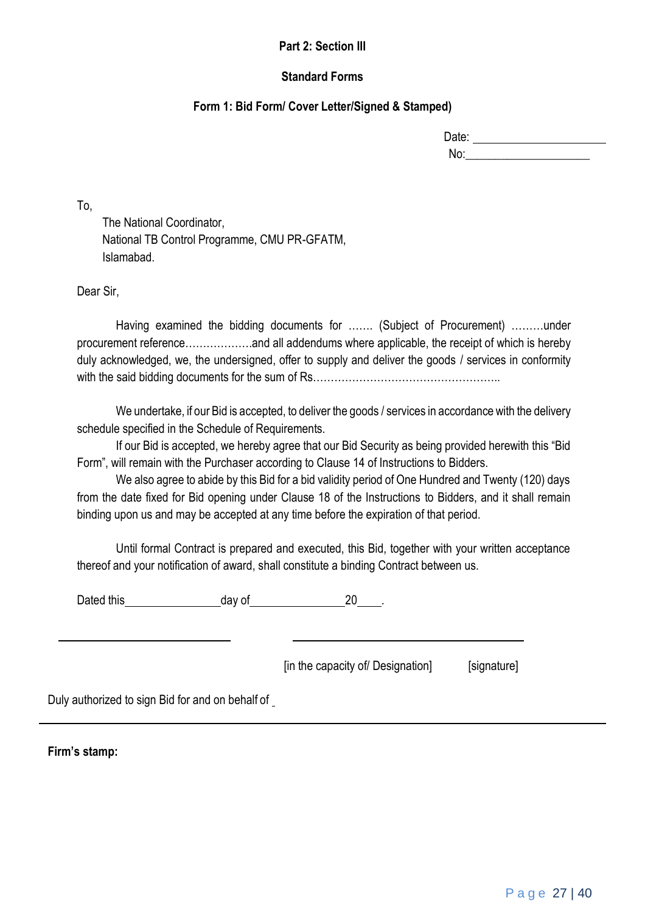#### **Part 2: Section III**

#### **Standard Forms**

### **Form 1: Bid Form/ Cover Letter/Signed & Stamped)**

| Date: |  |
|-------|--|
| No:   |  |

To,

The National Coordinator, National TB Control Programme, CMU PR-GFATM, Islamabad.

Dear Sir,

Having examined the bidding documents for ....... (Subject of Procurement) ........under procurement reference……………….and all addendums where applicable, the receipt of which is hereby duly acknowledged, we, the undersigned, offer to supply and deliver the goods / services in conformity with the said bidding documents for the sum of Rs……………………………………………..

We undertake, if our Bid is accepted, to deliver the goods / services in accordance with the delivery schedule specified in the Schedule of Requirements.

If our Bid is accepted, we hereby agree that our Bid Security as being provided herewith this "Bid Form", will remain with the Purchaser according to Clause 14 of Instructions to Bidders.

We also agree to abide by this Bid for a bid validity period of One Hundred and Twenty (120) days from the date fixed for Bid opening under Clause 18 of the Instructions to Bidders, and it shall remain binding upon us and may be accepted at any time before the expiration of that period.

Until formal Contract is prepared and executed, this Bid, together with your written acceptance thereof and your notification of award, shall constitute a binding Contract between us.

Dated this day of 20 .

[in the capacity of Designation] [signature]

Duly authorized to sign Bid for and on behalf of

**Firm's stamp:**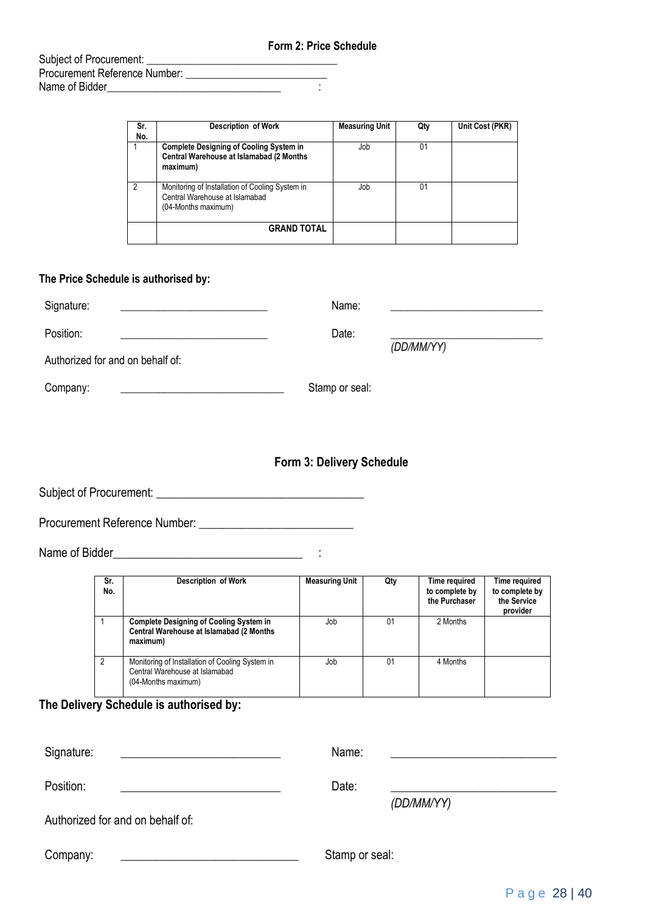Subject of Procurement: \_\_\_\_\_\_\_\_\_\_\_\_\_\_\_\_\_\_\_\_\_\_\_\_\_\_\_\_\_\_\_\_\_\_\_ Procurement Reference Number: \_\_\_\_\_\_\_\_\_\_\_\_\_\_\_\_\_\_\_\_\_\_\_\_\_\_ Name of Bidder\_\_\_\_\_\_\_\_\_\_\_\_\_\_\_\_\_\_\_\_\_\_\_\_\_\_\_\_\_\_\_\_ :

| Sr.<br>No. | <b>Description of Work</b>                                                                               | <b>Measuring Unit</b> | Qty | Unit Cost (PKR) |
|------------|----------------------------------------------------------------------------------------------------------|-----------------------|-----|-----------------|
|            | <b>Complete Designing of Cooling System in</b><br>Central Warehouse at Islamabad (2 Months<br>maximum)   | Job                   | 01  |                 |
| 2          | Monitoring of Installation of Cooling System in<br>Central Warehouse at Islamabad<br>(04-Months maximum) | Job                   | 01  |                 |
|            | <b>GRAND TOTAL</b>                                                                                       |                       |     |                 |

#### **The Price Schedule is authorised by:**

| Signature:                       | Name:          |            |
|----------------------------------|----------------|------------|
| Position:                        | Date:          |            |
| Authorized for and on behalf of: |                | (DD/MM/YY) |
| Company:                         | Stamp or seal: |            |

# **Form 3: Delivery Schedule**

Subject of Procurement: \_\_\_\_\_\_\_\_\_\_\_\_\_\_\_\_\_\_\_\_\_\_\_\_\_\_\_\_\_\_\_\_\_\_\_

Procurement Reference Number: \_\_\_\_\_\_\_\_\_\_\_\_\_\_\_\_\_\_\_\_\_\_\_\_\_\_

Name of Bidder\_\_\_\_\_\_\_\_\_\_\_\_\_\_\_\_\_\_\_\_\_\_\_\_\_\_\_\_\_\_\_\_ :

| Sr.<br>No.   | Description of Work                                                                                      | <b>Measuring Unit</b> | Qty | Time required<br>to complete by<br>the Purchaser | Time required<br>to complete by<br>the Service<br>provider |
|--------------|----------------------------------------------------------------------------------------------------------|-----------------------|-----|--------------------------------------------------|------------------------------------------------------------|
| $\mathbf{1}$ | <b>Complete Designing of Cooling System in</b><br>Central Warehouse at Islamabad (2 Months<br>maximum)   | Job                   | 01  | 2 Months                                         |                                                            |
| 2            | Monitoring of Installation of Cooling System in<br>Central Warehouse at Islamabad<br>(04-Months maximum) | Job                   | 01  | 4 Months                                         |                                                            |

# **The Delivery Schedule is authorised by:**

| Signature:                       | Name:          |            |
|----------------------------------|----------------|------------|
| Position:                        | Date:          | (DD/MM/YY) |
| Authorized for and on behalf of: |                |            |
| Company:                         | Stamp or seal: |            |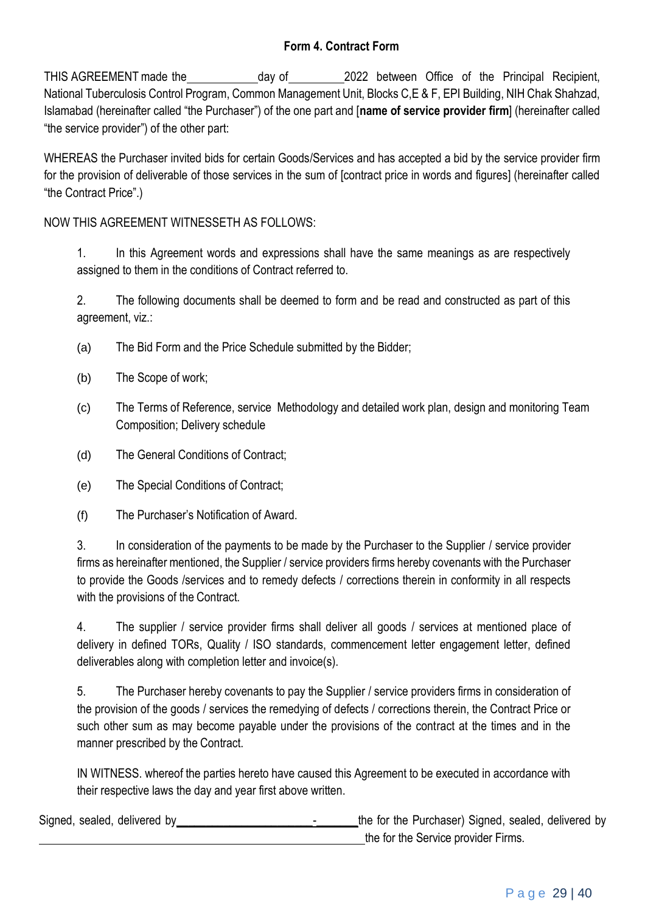# **Form 4. Contract Form**

THIS AGREEMENT made the day of 2022 between Office of the Principal Recipient, National Tuberculosis Control Program, Common Management Unit, Blocks C,E & F, EPI Building, NIH Chak Shahzad, Islamabad (hereinafter called "the Purchaser") of the one part and [**name of service provider firm**] (hereinafter called "the service provider") of the other part:

WHEREAS the Purchaser invited bids for certain Goods/Services and has accepted a bid by the service provider firm for the provision of deliverable of those services in the sum of [contract price in words and figures] (hereinafter called "the Contract Price".)

NOW THIS AGREEMENT WITNESSETH AS FOLLOWS:

1. In this Agreement words and expressions shall have the same meanings as are respectively assigned to them in the conditions of Contract referred to.

2. The following documents shall be deemed to form and be read and constructed as part of this agreement, viz.:

- (a) The Bid Form and the Price Schedule submitted by the Bidder;
- (b) The Scope of work;
- (c) The Terms of Reference, service Methodology and detailed work plan, design and monitoring Team Composition; Delivery schedule
- (d) The General Conditions of Contract;
- (e) The Special Conditions of Contract;
- (f) The Purchaser's Notification of Award.

3. In consideration of the payments to be made by the Purchaser to the Supplier / service provider firms as hereinafter mentioned, the Supplier / service providers firms hereby covenants with the Purchaser to provide the Goods /services and to remedy defects / corrections therein in conformity in all respects with the provisions of the Contract.

4. The supplier / service provider firms shall deliver all goods / services at mentioned place of delivery in defined TORs, Quality / ISO standards, commencement letter engagement letter, defined deliverables along with completion letter and invoice(s).

5. The Purchaser hereby covenants to pay the Supplier / service providers firms in consideration of the provision of the goods / services the remedying of defects / corrections therein, the Contract Price or such other sum as may become payable under the provisions of the contract at the times and in the manner prescribed by the Contract.

IN WITNESS. whereof the parties hereto have caused this Agreement to be executed in accordance with their respective laws the day and year first above written.

Signed, sealed, delivered by entitled by the form the Purchaser) Signed, sealed, delivered by the for the Service provider Firms.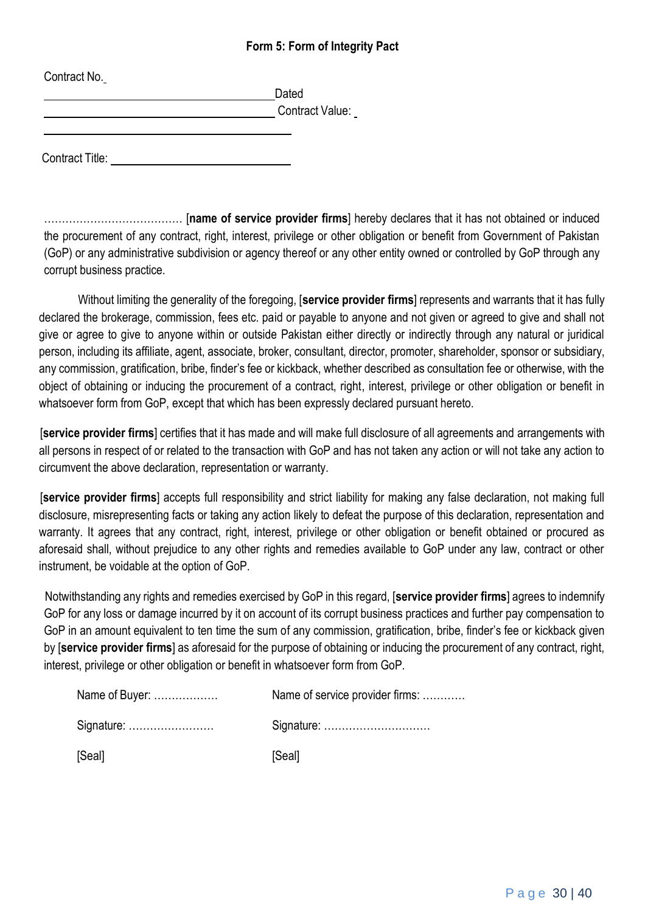### **Form 5: Form of Integrity Pact**

| Contract No.           | Dated           |
|------------------------|-----------------|
|                        | Contract Value: |
| <b>Contract Title:</b> |                 |

………………………………… [**name of service provider firms**] hereby declares that it has not obtained or induced the procurement of any contract, right, interest, privilege or other obligation or benefit from Government of Pakistan (GoP) or any administrative subdivision or agency thereof or any other entity owned or controlled by GoP through any corrupt business practice.

Without limiting the generality of the foregoing, [**service provider firms**] represents and warrants that it has fully declared the brokerage, commission, fees etc. paid or payable to anyone and not given or agreed to give and shall not give or agree to give to anyone within or outside Pakistan either directly or indirectly through any natural or juridical person, including its affiliate, agent, associate, broker, consultant, director, promoter, shareholder, sponsor or subsidiary, any commission, gratification, bribe, finder's fee or kickback, whether described as consultation fee or otherwise, with the object of obtaining or inducing the procurement of a contract, right, interest, privilege or other obligation or benefit in whatsoever form from GoP, except that which has been expressly declared pursuant hereto.

[**service provider firms**] certifies that it has made and will make full disclosure of all agreements and arrangements with all persons in respect of or related to the transaction with GoP and has not taken any action or will not take any action to circumvent the above declaration, representation or warranty.

[**service provider firms**] accepts full responsibility and strict liability for making any false declaration, not making full disclosure, misrepresenting facts or taking any action likely to defeat the purpose of this declaration, representation and warranty. It agrees that any contract, right, interest, privilege or other obligation or benefit obtained or procured as aforesaid shall, without prejudice to any other rights and remedies available to GoP under any law, contract or other instrument, be voidable at the option of GoP.

Notwithstanding any rights and remedies exercised by GoP in this regard, [**service provider firms**] agrees to indemnify GoP for any loss or damage incurred by it on account of its corrupt business practices and further pay compensation to GoP in an amount equivalent to ten time the sum of any commission, gratification, bribe, finder's fee or kickback given by [**service provider firms**] as aforesaid for the purpose of obtaining or inducing the procurement of any contract, right, interest, privilege or other obligation or benefit in whatsoever form from GoP.

| Name of Buyer: | Name of service provider firms: |
|----------------|---------------------------------|
| Signature:     |                                 |
| [Seal]         | [Seal]                          |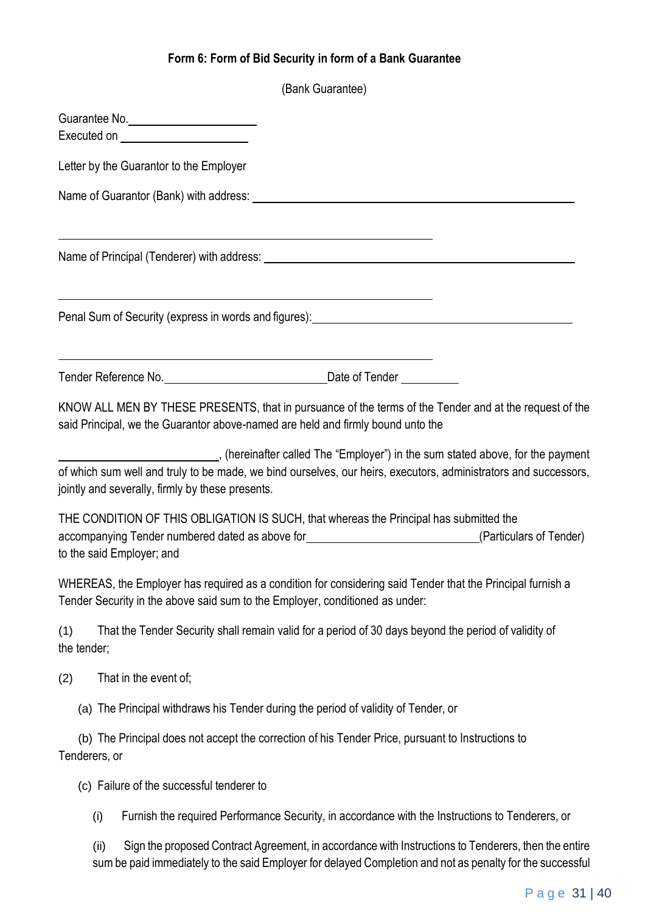# **Form 6: Form of Bid Security in form of a Bank Guarantee**

|                    |                                                                                                                                                                                                                                                     | (Bank Guarantee)                                                                                    |  |
|--------------------|-----------------------------------------------------------------------------------------------------------------------------------------------------------------------------------------------------------------------------------------------------|-----------------------------------------------------------------------------------------------------|--|
|                    | Guarantee No.                                                                                                                                                                                                                                       |                                                                                                     |  |
|                    | Letter by the Guarantor to the Employer                                                                                                                                                                                                             |                                                                                                     |  |
|                    |                                                                                                                                                                                                                                                     |                                                                                                     |  |
|                    |                                                                                                                                                                                                                                                     |                                                                                                     |  |
|                    | Penal Sum of Security (express in words and figures): Penal Sum of Security of Security (express in words and figures):                                                                                                                             | <u> 1989 - Johann Stoff, amerikansk politiker (d. 1989)</u>                                         |  |
|                    |                                                                                                                                                                                                                                                     |                                                                                                     |  |
|                    | KNOW ALL MEN BY THESE PRESENTS, that in pursuance of the terms of the Tender and at the request of the<br>said Principal, we the Guarantor above-named are held and firmly bound unto the                                                           |                                                                                                     |  |
|                    | (hereinafter called The "Employer") in the sum stated above, for the payment<br>of which sum well and truly to be made, we bind ourselves, our heirs, executors, administrators and successors,<br>jointly and severally, firmly by these presents. |                                                                                                     |  |
|                    | THE CONDITION OF THIS OBLIGATION IS SUCH, that whereas the Principal has submitted the<br>accompanying Tender numbered dated as above for<br><u>Carticulars of Tender</u><br>to the said Employer; and                                              |                                                                                                     |  |
|                    | WHEREAS, the Employer has required as a condition for considering said Tender that the Principal furnish a<br>Tender Security in the above said sum to the Employer, conditioned as under:                                                          |                                                                                                     |  |
| (1)<br>the tender; | That the Tender Security shall remain valid for a period of 30 days beyond the period of validity of                                                                                                                                                |                                                                                                     |  |
| (2)                | That in the event of;                                                                                                                                                                                                                               |                                                                                                     |  |
|                    | (a) The Principal withdraws his Tender during the period of validity of Tender, or                                                                                                                                                                  |                                                                                                     |  |
| Tenderers, or      | (b) The Principal does not accept the correction of his Tender Price, pursuant to Instructions to                                                                                                                                                   |                                                                                                     |  |
|                    | (c) Failure of the successful tenderer to                                                                                                                                                                                                           |                                                                                                     |  |
| (i)                |                                                                                                                                                                                                                                                     | Furnish the required Performance Security, in accordance with the Instructions to Tenderers, or     |  |
| (ii)               |                                                                                                                                                                                                                                                     | Sign the proposed Contract Agreement, in accordance with Instructions to Tenderers, then the entire |  |

sum be paid immediately to the said Employer for delayed Completion and not as penalty for the successful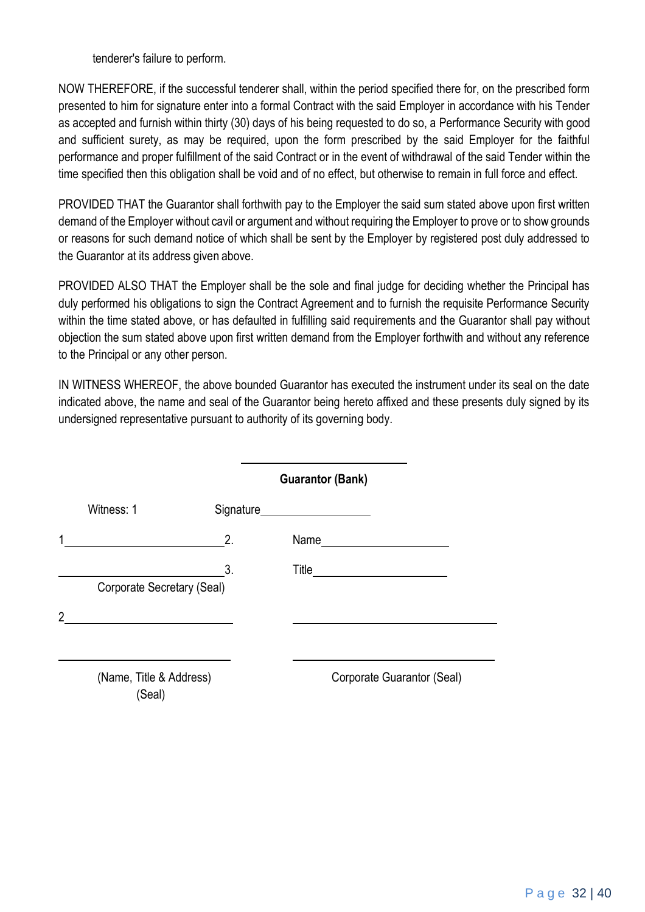tenderer's failure to perform.

NOW THEREFORE, if the successful tenderer shall, within the period specified there for, on the prescribed form presented to him for signature enter into a formal Contract with the said Employer in accordance with his Tender as accepted and furnish within thirty (30) days of his being requested to do so, a Performance Security with good and sufficient surety, as may be required, upon the form prescribed by the said Employer for the faithful performance and proper fulfillment of the said Contract or in the event of withdrawal of the said Tender within the time specified then this obligation shall be void and of no effect, but otherwise to remain in full force and effect.

PROVIDED THAT the Guarantor shall forthwith pay to the Employer the said sum stated above upon first written demand of the Employer without cavil or argument and without requiring the Employer to prove or to show grounds or reasons for such demand notice of which shall be sent by the Employer by registered post duly addressed to the Guarantor at its address given above.

PROVIDED ALSO THAT the Employer shall be the sole and final judge for deciding whether the Principal has duly performed his obligations to sign the Contract Agreement and to furnish the requisite Performance Security within the time stated above, or has defaulted in fulfilling said requirements and the Guarantor shall pay without objection the sum stated above upon first written demand from the Employer forthwith and without any reference to the Principal or any other person.

IN WITNESS WHEREOF, the above bounded Guarantor has executed the instrument under its seal on the date indicated above, the name and seal of the Guarantor being hereto affixed and these presents duly signed by its undersigned representative pursuant to authority of its governing body.

|                |                                   |    | <b>Guarantor (Bank)</b>        |
|----------------|-----------------------------------|----|--------------------------------|
|                | Witness: 1                        |    | Signature_____________________ |
| 1              |                                   | 2. |                                |
|                | Corporate Secretary (Seal)        | 3. |                                |
| $\mathfrak{p}$ |                                   |    |                                |
|                | (Name, Title & Address)<br>(Seal) |    | Corporate Guarantor (Seal)     |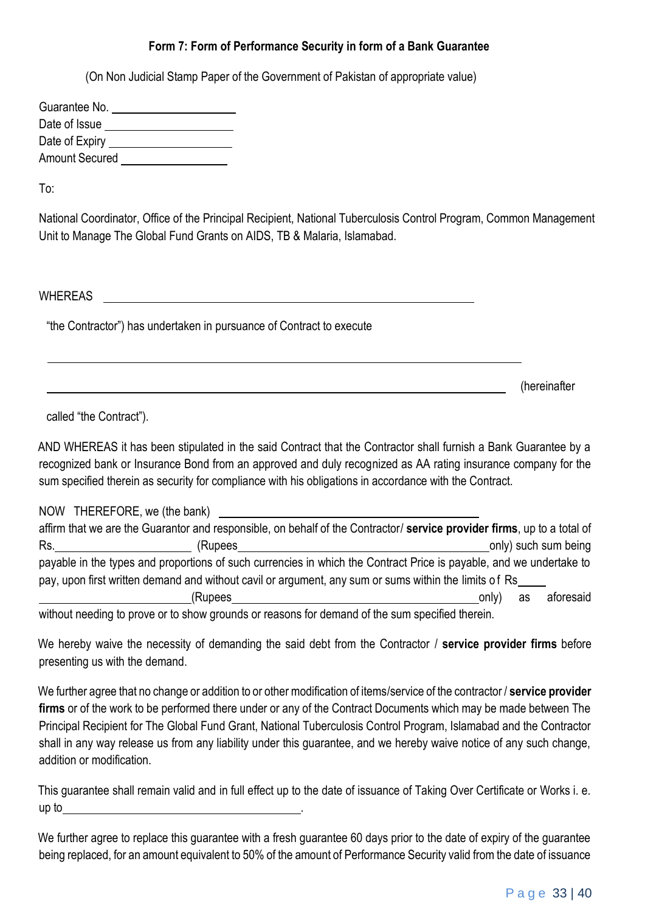# **Form 7: Form of Performance Security in form of a Bank Guarantee**

(On Non Judicial Stamp Paper of the Government of Pakistan of appropriate value)

| Guarantee No.         |  |
|-----------------------|--|
| Date of Issue         |  |
| Date of Expiry        |  |
| <b>Amount Secured</b> |  |

To:

National Coordinator, Office of the Principal Recipient, National Tuberculosis Control Program, Common Management Unit to Manage The Global Fund Grants on AIDS, TB & Malaria, Islamabad.

WHEREAS

"the Contractor") has undertaken in pursuance of Contract to execute

(hereinafter

called "the Contract").

AND WHEREAS it has been stipulated in the said Contract that the Contractor shall furnish a Bank Guarantee by a recognized bank or Insurance Bond from an approved and duly recognized as AA rating insurance company for the sum specified therein as security for compliance with his obligations in accordance with the Contract.

|     | NOW THEREFORE, we (the bank)                                                                                                                                                                                                  |                          |
|-----|-------------------------------------------------------------------------------------------------------------------------------------------------------------------------------------------------------------------------------|--------------------------|
|     | affirm that we are the Guarantor and responsible, on behalf of the Contractor/ service provider firms, up to a total of                                                                                                       |                          |
| Rs. | (Rupees                                                                                                                                                                                                                       | only) such sum being     |
|     | payable in the types and proportions of such currencies in which the Contract Price is payable, and we undertake to                                                                                                           |                          |
|     | pay, upon first written demand and without cavil or argument, any sum or sums within the limits of Rs                                                                                                                         |                          |
|     | (Rupees                                                                                                                                                                                                                       | aforesaid<br>only)<br>as |
|     | . The contract of the contract of the contract of the contract of the contract of the contract of the contract of the contract of the contract of the contract of the contract of the contract of the contract of the contrac |                          |

without needing to prove or to show grounds or reasons for demand of the sum specified therein.

We hereby waive the necessity of demanding the said debt from the Contractor / **service provider firms** before presenting us with the demand.

We further agree that no change or addition to or other modification of items/service of the contractor / **service provider firms** or of the work to be performed there under or any of the Contract Documents which may be made between The Principal Recipient for The Global Fund Grant, National Tuberculosis Control Program, Islamabad and the Contractor shall in any way release us from any liability under this guarantee, and we hereby waive notice of any such change, addition or modification.

This guarantee shall remain valid and in full effect up to the date of issuance of Taking Over Certificate or Works i. e. up to .

We further agree to replace this guarantee with a fresh guarantee 60 days prior to the date of expiry of the guarantee being replaced, for an amount equivalent to 50% of the amount of Performance Security valid from the date of issuance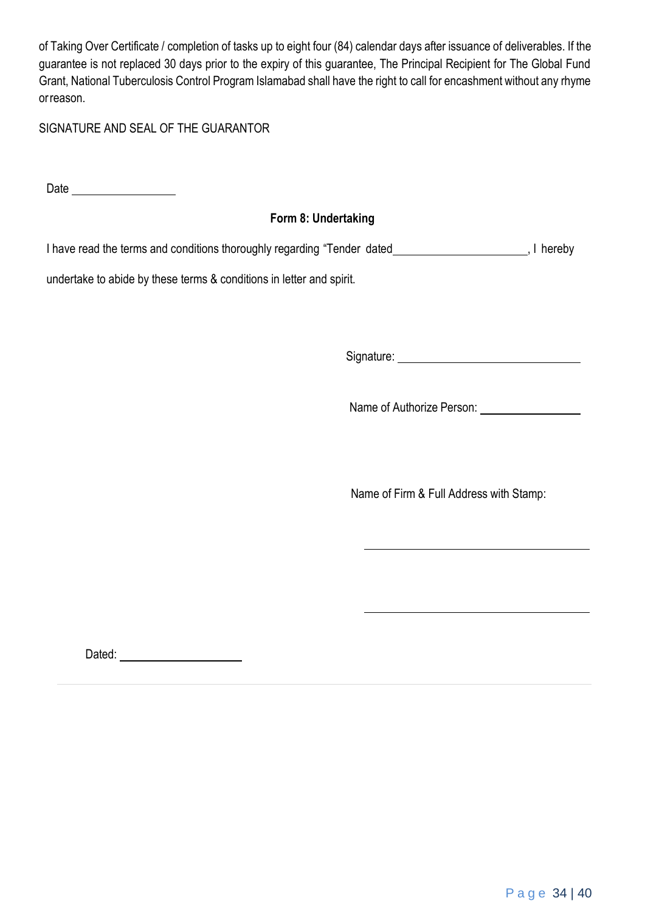of Taking Over Certificate / completion of tasks up to eight four (84) calendar days after issuance of deliverables. If the guarantee is not replaced 30 days prior to the expiry of this guarantee, The Principal Recipient for The Global Fund Grant, National Tuberculosis Control Program Islamabad shall have the right to call for encashment without any rhyme orreason.

SIGNATURE AND SEAL OF THE GUARANTOR

Date

# **Form 8: Undertaking**

I have read the terms and conditions thoroughly regarding "Tender dated \_\_\_\_\_\_\_\_\_\_\_\_\_\_\_\_\_\_\_\_\_\_\_\_\_\_\_, I hereby

undertake to abide by these terms & conditions in letter and spirit.

Signature:

Name of Authorize Person:

Name of Firm & Full Address with Stamp:

Dated: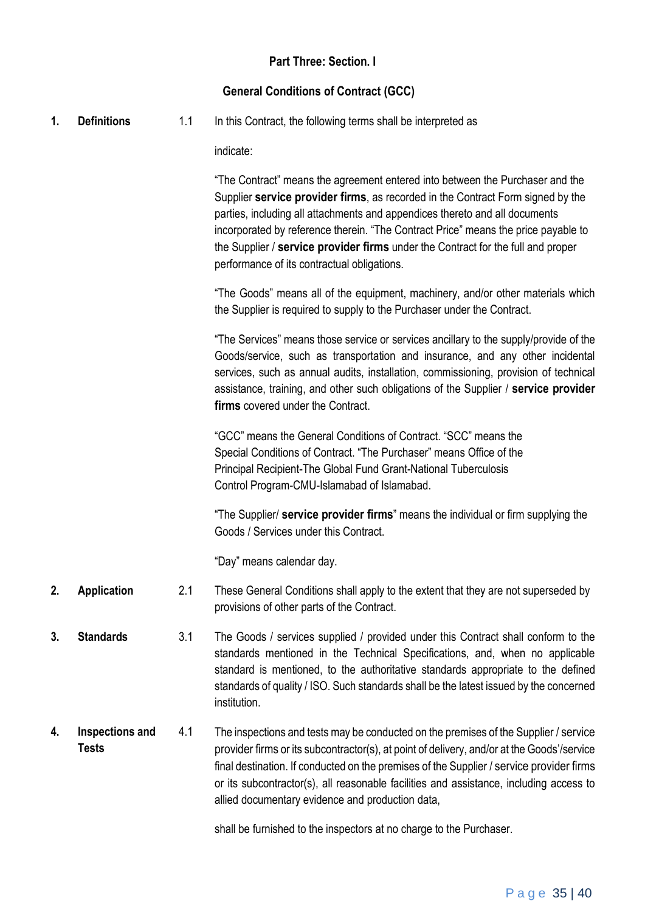# **Part Three: Section. I**

# **General Conditions of Contract (GCC)**

**1. Definitions** 1.1 In this Contract, the following terms shall be interpreted as

indicate:

"The Contract" means the agreement entered into between the Purchaser and the Supplier **service provider firms**, as recorded in the Contract Form signed by the parties, including all attachments and appendices thereto and all documents incorporated by reference therein. "The Contract Price" means the price payable to the Supplier / **service provider firms** under the Contract for the full and proper performance of its contractual obligations.

"The Goods" means all of the equipment, machinery, and/or other materials which the Supplier is required to supply to the Purchaser under the Contract.

"The Services" means those service or services ancillary to the supply/provide of the Goods/service, such as transportation and insurance, and any other incidental services, such as annual audits, installation, commissioning, provision of technical assistance, training, and other such obligations of the Supplier / **service provider firms** covered under the Contract.

"GCC" means the General Conditions of Contract. "SCC" means the Special Conditions of Contract. "The Purchaser" means Office of the Principal Recipient-The Global Fund Grant-National Tuberculosis Control Program-CMU-Islamabad of Islamabad.

"The Supplier/ **service provider firms**" means the individual or firm supplying the Goods / Services under this Contract.

"Day" means calendar day.

- **2. Application** 2.1 These General Conditions shall apply to the extent that they are not superseded by provisions of other parts of the Contract.
- **3. Standards** 3.1 The Goods / services supplied / provided under this Contract shall conform to the standards mentioned in the Technical Specifications, and, when no applicable standard is mentioned, to the authoritative standards appropriate to the defined standards of quality / ISO. Such standards shall be the latest issued by the concerned institution.
- **4. Inspections and Tests** 4.1 The inspections and tests may be conducted on the premises of the Supplier / service provider firms or its subcontractor(s), at point of delivery, and/or at the Goods'/service final destination. If conducted on the premises of the Supplier / service provider firms or its subcontractor(s), all reasonable facilities and assistance, including access to allied documentary evidence and production data,

shall be furnished to the inspectors at no charge to the Purchaser.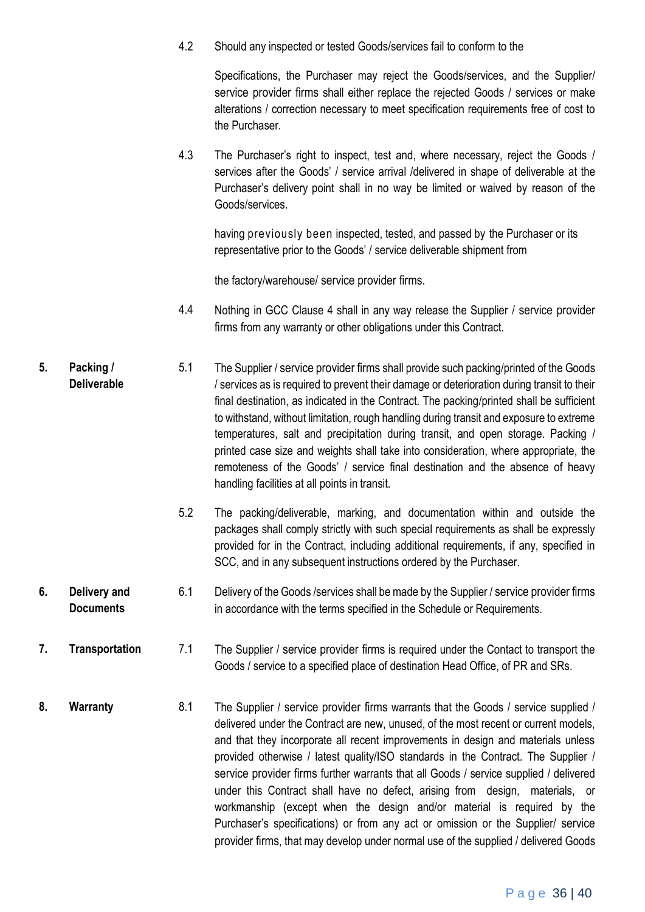4.2 Should any inspected or tested Goods/services fail to conform to the

Specifications, the Purchaser may reject the Goods/services, and the Supplier/ service provider firms shall either replace the rejected Goods / services or make alterations / correction necessary to meet specification requirements free of cost to the Purchaser.

4.3 The Purchaser's right to inspect, test and, where necessary, reject the Goods / services after the Goods' / service arrival /delivered in shape of deliverable at the Purchaser's delivery point shall in no way be limited or waived by reason of the Goods/services.

having previously been inspected, tested, and passed by the Purchaser or its representative prior to the Goods' / service deliverable shipment from

the factory/warehouse/ service provider firms.

- 4.4 Nothing in GCC Clause 4 shall in any way release the Supplier / service provider firms from any warranty or other obligations under this Contract.
- **5. Packing / Deliverable** 5.1 The Supplier / service provider firms shall provide such packing/printed of the Goods / services as is required to prevent their damage or deterioration during transit to their final destination, as indicated in the Contract. The packing/printed shall be sufficient to withstand, without limitation, rough handling during transit and exposure to extreme temperatures, salt and precipitation during transit, and open storage. Packing / printed case size and weights shall take into consideration, where appropriate, the remoteness of the Goods' / service final destination and the absence of heavy handling facilities at all points in transit.
	- 5.2 The packing/deliverable, marking, and documentation within and outside the packages shall comply strictly with such special requirements as shall be expressly provided for in the Contract, including additional requirements, if any, specified in SCC, and in any subsequent instructions ordered by the Purchaser.
- **6. Delivery and Documents** 6.1 Delivery of the Goods /services shall be made by the Supplier / service provider firms in accordance with the terms specified in the Schedule or Requirements.
- **7. Transportation** 7.1 The Supplier / service provider firms is required under the Contact to transport the Goods / service to a specified place of destination Head Office, of PR and SRs.
- **8. Warranty** 8.1 The Supplier / service provider firms warrants that the Goods / service supplied / delivered under the Contract are new, unused, of the most recent or current models, and that they incorporate all recent improvements in design and materials unless provided otherwise / latest quality/ISO standards in the Contract. The Supplier / service provider firms further warrants that all Goods / service supplied / delivered under this Contract shall have no defect, arising from design, materials, or workmanship (except when the design and/or material is required by the Purchaser's specifications) or from any act or omission or the Supplier/ service provider firms, that may develop under normal use of the supplied / delivered Goods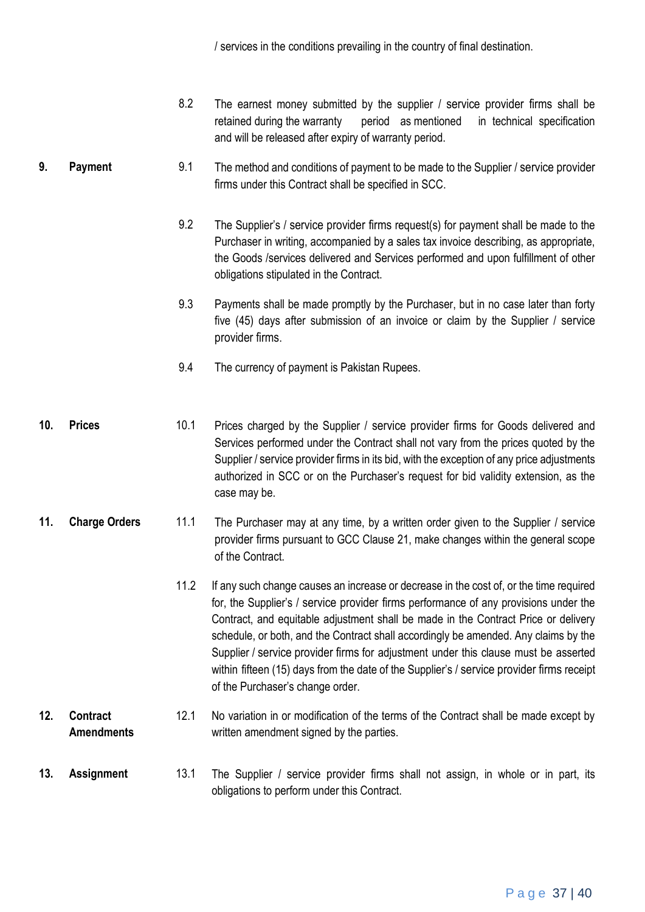/ services in the conditions prevailing in the country of final destination.

- 8.2 The earnest money submitted by the supplier / service provider firms shall be retained during the warranty period as mentioned in technical specification and will be released after expiry of warranty period.
- **9. Payment** 9.1 The method and conditions of payment to be made to the Supplier / service provider firms under this Contract shall be specified in SCC.
	- 9.2 The Supplier's / service provider firms request(s) for payment shall be made to the Purchaser in writing, accompanied by a sales tax invoice describing, as appropriate, the Goods /services delivered and Services performed and upon fulfillment of other obligations stipulated in the Contract.
	- 9.3 Payments shall be made promptly by the Purchaser, but in no case later than forty five (45) days after submission of an invoice or claim by the Supplier / service provider firms.
	- 9.4 The currency of payment is Pakistan Rupees.
- **10. Prices** 10.1 Prices charged by the Supplier / service provider firms for Goods delivered and Services performed under the Contract shall not vary from the prices quoted by the Supplier / service provider firms in its bid, with the exception of any price adjustments authorized in SCC or on the Purchaser's request for bid validity extension, as the case may be.
- **11. Charge Orders** 11.1 The Purchaser may at any time, by a written order given to the Supplier / service provider firms pursuant to GCC Clause 21, make changes within the general scope of the Contract.
	- 11.2 If any such change causes an increase or decrease in the cost of, or the time required for, the Supplier's / service provider firms performance of any provisions under the Contract, and equitable adjustment shall be made in the Contract Price or delivery schedule, or both, and the Contract shall accordingly be amended. Any claims by the Supplier / service provider firms for adjustment under this clause must be asserted within fifteen (15) days from the date of the Supplier's / service provider firms receipt of the Purchaser's change order.

#### **12. Contract Amendments** 12.1 No variation in or modification of the terms of the Contract shall be made except by written amendment signed by the parties.

**13. Assignment** 13.1 The Supplier / service provider firms shall not assign, in whole or in part, its obligations to perform under this Contract.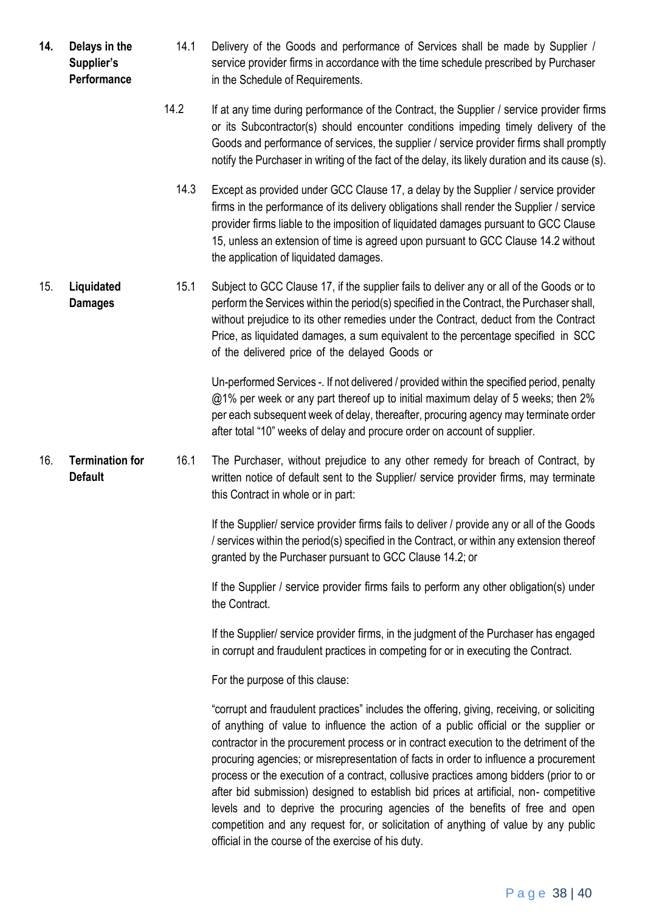- **14. Delays in the Supplier's Performance** 14.1 Delivery of the Goods and performance of Services shall be made by Supplier / service provider firms in accordance with the time schedule prescribed by Purchaser in the Schedule of Requirements.
	- 14.2 If at any time during performance of the Contract, the Supplier / service provider firms or its Subcontractor(s) should encounter conditions impeding timely delivery of the Goods and performance of services, the supplier / service provider firms shall promptly notify the Purchaser in writing of the fact of the delay, its likely duration and its cause (s).
		- 14.3 Except as provided under GCC Clause 17, a delay by the Supplier / service provider firms in the performance of its delivery obligations shall render the Supplier / service provider firms liable to the imposition of liquidated damages pursuant to GCC Clause 15, unless an extension of time is agreed upon pursuant to GCC Clause 14.2 without the application of liquidated damages.
- 15. **Liquidated Damages** 15.1 Subject to GCC Clause 17, if the supplier fails to deliver any or all of the Goods or to perform the Services within the period(s) specified in the Contract, the Purchaser shall, without prejudice to its other remedies under the Contract, deduct from the Contract Price, as liquidated damages, a sum equivalent to the percentage specified in SCC of the delivered price of the delayed Goods or

Un-performed Services -. If not delivered / provided within the specified period, penalty @1% per week or any part thereof up to initial maximum delay of 5 weeks; then 2% per each subsequent week of delay, thereafter, procuring agency may terminate order after total "10" weeks of delay and procure order on account of supplier.

16. **Termination for Default** 16.1 The Purchaser, without prejudice to any other remedy for breach of Contract, by written notice of default sent to the Supplier/ service provider firms, may terminate this Contract in whole or in part:

> If the Supplier/ service provider firms fails to deliver / provide any or all of the Goods / services within the period(s) specified in the Contract, or within any extension thereof granted by the Purchaser pursuant to GCC Clause 14.2; or

> If the Supplier / service provider firms fails to perform any other obligation(s) under the Contract.

> If the Supplier/ service provider firms, in the judgment of the Purchaser has engaged in corrupt and fraudulent practices in competing for or in executing the Contract.

For the purpose of this clause:

"corrupt and fraudulent practices" includes the offering, giving, receiving, or soliciting of anything of value to influence the action of a public official or the supplier or contractor in the procurement process or in contract execution to the detriment of the procuring agencies; or misrepresentation of facts in order to influence a procurement process or the execution of a contract, collusive practices among bidders (prior to or after bid submission) designed to establish bid prices at artificial, non- competitive levels and to deprive the procuring agencies of the benefits of free and open competition and any request for, or solicitation of anything of value by any public official in the course of the exercise of his duty.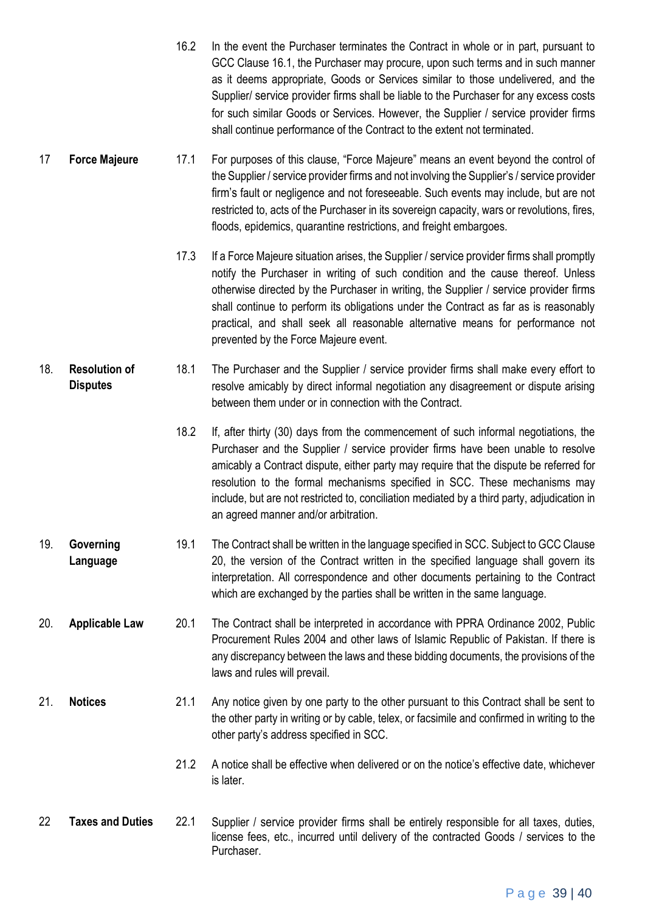- 16.2 In the event the Purchaser terminates the Contract in whole or in part, pursuant to GCC Clause 16.1, the Purchaser may procure, upon such terms and in such manner as it deems appropriate, Goods or Services similar to those undelivered, and the Supplier/ service provider firms shall be liable to the Purchaser for any excess costs for such similar Goods or Services. However, the Supplier / service provider firms shall continue performance of the Contract to the extent not terminated.
- 17 **Force Majeure** 17.1 For purposes of this clause, "Force Majeure" means an event beyond the control of the Supplier / service provider firms and not involving the Supplier's / service provider firm's fault or negligence and not foreseeable. Such events may include, but are not restricted to, acts of the Purchaser in its sovereign capacity, wars or revolutions, fires, floods, epidemics, quarantine restrictions, and freight embargoes.
	- 17.3 If a Force Majeure situation arises, the Supplier / service provider firms shall promptly notify the Purchaser in writing of such condition and the cause thereof. Unless otherwise directed by the Purchaser in writing, the Supplier / service provider firms shall continue to perform its obligations under the Contract as far as is reasonably practical, and shall seek all reasonable alternative means for performance not prevented by the Force Majeure event.
- 18. **Resolution of Disputes** 18.1 The Purchaser and the Supplier / service provider firms shall make every effort to resolve amicably by direct informal negotiation any disagreement or dispute arising between them under or in connection with the Contract.
	- 18.2 If, after thirty (30) days from the commencement of such informal negotiations, the Purchaser and the Supplier / service provider firms have been unable to resolve amicably a Contract dispute, either party may require that the dispute be referred for resolution to the formal mechanisms specified in SCC. These mechanisms may include, but are not restricted to, conciliation mediated by a third party, adjudication in an agreed manner and/or arbitration.
- 19. **Governing Language** 19.1 The Contract shall be written in the language specified in SCC. Subject to GCC Clause 20, the version of the Contract written in the specified language shall govern its interpretation. All correspondence and other documents pertaining to the Contract which are exchanged by the parties shall be written in the same language.
- 20. **Applicable Law** 20.1 The Contract shall be interpreted in accordance with PPRA Ordinance 2002, Public Procurement Rules 2004 and other laws of Islamic Republic of Pakistan. If there is any discrepancy between the laws and these bidding documents, the provisions of the laws and rules will prevail.
- 21. **Notices** 21.1 Any notice given by one party to the other pursuant to this Contract shall be sent to the other party in writing or by cable, telex, or facsimile and confirmed in writing to the other party's address specified in SCC.
	- 21.2 A notice shall be effective when delivered or on the notice's effective date, whichever is later.
- 22 **Taxes and Duties** 22.1 Supplier / service provider firms shall be entirely responsible for all taxes, duties, license fees, etc., incurred until delivery of the contracted Goods / services to the Purchaser.